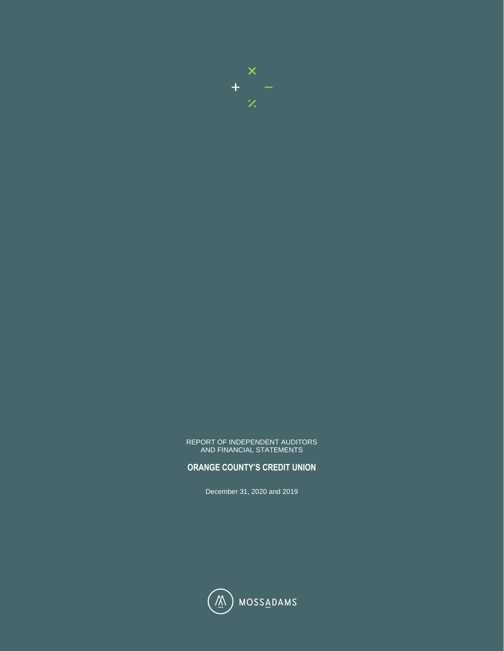

#### REPORT OF INDEPENDENT AUDITORS AND FINANCIAL STATEMENTS

### **ORANGE COUNTY'S CREDIT UNION**

December 31, 2020 and 2019

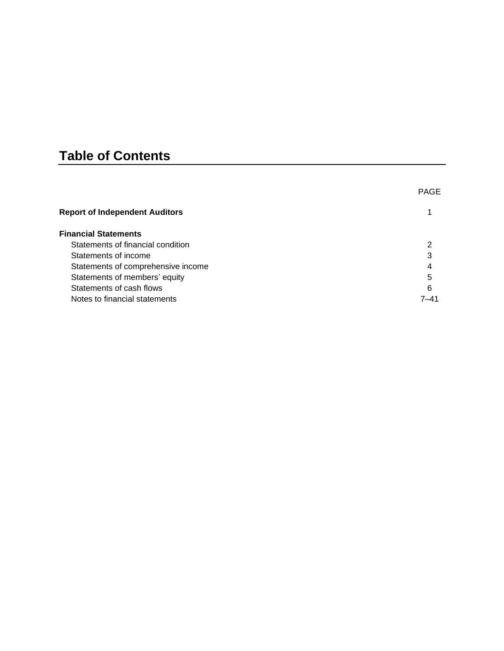# **Table of Contents**

|                                       | <b>PAGE</b> |
|---------------------------------------|-------------|
| <b>Report of Independent Auditors</b> |             |
| <b>Financial Statements</b>           |             |
| Statements of financial condition     |             |
| Statements of income                  | 3           |
| Statements of comprehensive income    | 4           |
| Statements of members' equity         | 5           |
| Statements of cash flows              | 6           |
| Notes to financial statements         | 7–41        |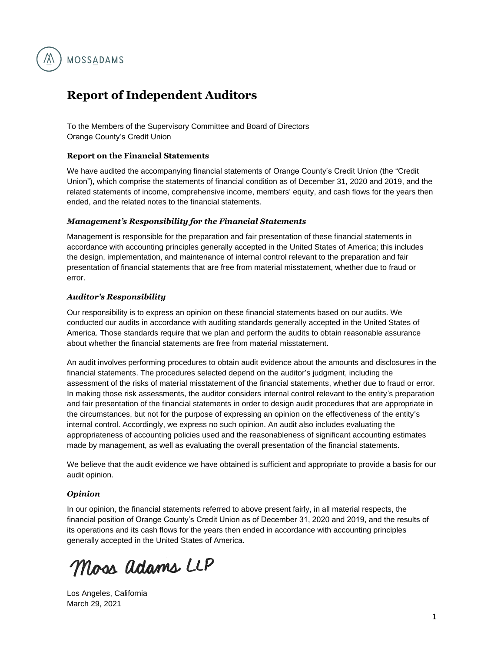

# <span id="page-2-0"></span>**Report of Independent Auditors**

To the Members of the Supervisory Committee and Board of Directors Orange County's Credit Union

### **Report on the Financial Statements**

We have audited the accompanying financial statements of Orange County's Credit Union (the "Credit Union"), which comprise the statements of financial condition as of December 31, 2020 and 2019, and the related statements of income, comprehensive income, members' equity, and cash flows for the years then ended, and the related notes to the financial statements.

### *Management's Responsibility for the Financial Statements*

Management is responsible for the preparation and fair presentation of these financial statements in accordance with accounting principles generally accepted in the United States of America; this includes the design, implementation, and maintenance of internal control relevant to the preparation and fair presentation of financial statements that are free from material misstatement, whether due to fraud or error.

### *Auditor's Responsibility*

Our responsibility is to express an opinion on these financial statements based on our audits. We conducted our audits in accordance with auditing standards generally accepted in the United States of America. Those standards require that we plan and perform the audits to obtain reasonable assurance about whether the financial statements are free from material misstatement.

An audit involves performing procedures to obtain audit evidence about the amounts and disclosures in the financial statements. The procedures selected depend on the auditor's judgment, including the assessment of the risks of material misstatement of the financial statements, whether due to fraud or error. In making those risk assessments, the auditor considers internal control relevant to the entity's preparation and fair presentation of the financial statements in order to design audit procedures that are appropriate in the circumstances, but not for the purpose of expressing an opinion on the effectiveness of the entity's internal control. Accordingly, we express no such opinion. An audit also includes evaluating the appropriateness of accounting policies used and the reasonableness of significant accounting estimates made by management, as well as evaluating the overall presentation of the financial statements.

We believe that the audit evidence we have obtained is sufficient and appropriate to provide a basis for our audit opinion.

### *Opinion*

In our opinion, the financial statements referred to above present fairly, in all material respects, the financial position of Orange County's Credit Union as of December 31, 2020 and 2019, and the results of its operations and its cash flows for the years then ended in accordance with accounting principles generally accepted in the United States of America.

Moss adams LLP

Los Angeles, California March 29, 2021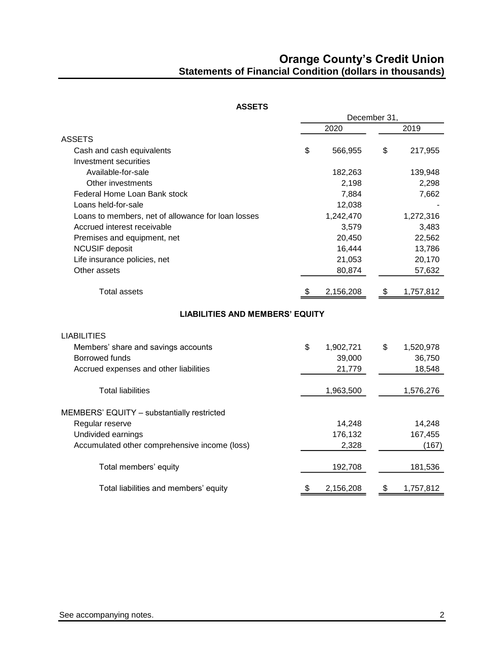## **Orange County's Credit Union Statements of Financial Condition (dollars in thousands)**

<span id="page-3-0"></span>

|                                                    | December 31, |           |    |           |
|----------------------------------------------------|--------------|-----------|----|-----------|
|                                                    |              | 2020      |    | 2019      |
| <b>ASSETS</b>                                      |              |           |    |           |
| Cash and cash equivalents                          | \$           | 566,955   | \$ | 217,955   |
| <b>Investment securities</b>                       |              |           |    |           |
| Available-for-sale                                 |              | 182,263   |    | 139,948   |
| Other investments                                  |              | 2,198     |    | 2,298     |
| Federal Home Loan Bank stock                       |              | 7,884     |    | 7,662     |
| Loans held-for-sale                                |              | 12,038    |    |           |
| Loans to members, net of allowance for loan losses |              | 1,242,470 |    | 1,272,316 |
| Accrued interest receivable                        |              | 3,579     |    | 3,483     |
| Premises and equipment, net                        |              | 20,450    |    | 22,562    |
| <b>NCUSIF</b> deposit                              |              | 16,444    |    | 13,786    |
| Life insurance policies, net                       |              | 21,053    |    | 20,170    |
| Other assets                                       |              | 80,874    |    | 57,632    |
| <b>Total assets</b>                                | £.           | 2,156,208 | \$ | 1,757,812 |
| <b>LIABILITIES AND MEMBERS' EQUITY</b>             |              |           |    |           |
| <b>LIABILITIES</b>                                 |              |           |    |           |
| Members' share and savings accounts                | \$           | 1,902,721 | \$ | 1,520,978 |
| <b>Borrowed funds</b>                              |              | 39,000    |    | 36,750    |
| Accrued expenses and other liabilities             |              | 21,779    |    | 18,548    |
| <b>Total liabilities</b>                           |              | 1,963,500 |    | 1,576,276 |
| MEMBERS' EQUITY - substantially restricted         |              |           |    |           |
| Regular reserve                                    |              | 14,248    |    | 14,248    |
| Undivided earnings                                 |              | 176,132   |    | 167,455   |
| Accumulated other comprehensive income (loss)      |              | 2,328     |    | (167)     |
| Total members' equity                              |              | 192,708   |    | 181,536   |
| Total liabilities and members' equity              | \$           | 2,156,208 | \$ | 1,757,812 |
|                                                    |              |           |    |           |

**ASSETS**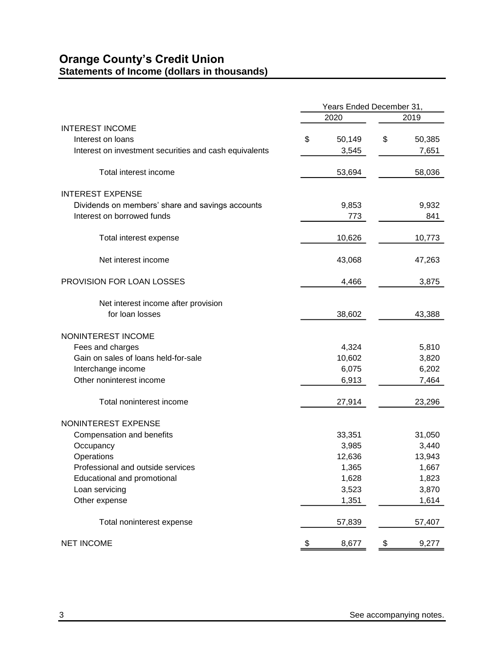# <span id="page-4-0"></span>**Orange County's Credit Union Statements of Income (dollars in thousands)**

|                                                        |              | Years Ended December 31, |
|--------------------------------------------------------|--------------|--------------------------|
|                                                        | 2020         | 2019                     |
| <b>INTEREST INCOME</b>                                 |              |                          |
| Interest on loans                                      | \$<br>50,149 | \$<br>50,385             |
| Interest on investment securities and cash equivalents | 3,545        | 7,651                    |
| Total interest income                                  | 53,694       | 58,036                   |
| <b>INTEREST EXPENSE</b>                                |              |                          |
| Dividends on members' share and savings accounts       | 9,853        | 9,932                    |
| Interest on borrowed funds                             | 773          | 841                      |
| Total interest expense                                 | 10,626       | 10,773                   |
| Net interest income                                    | 43,068       | 47,263                   |
| PROVISION FOR LOAN LOSSES                              | 4,466        | 3,875                    |
| Net interest income after provision                    |              |                          |
| for loan losses                                        | 38,602       | 43,388                   |
| NONINTEREST INCOME                                     |              |                          |
| Fees and charges                                       | 4,324        | 5,810                    |
| Gain on sales of loans held-for-sale                   | 10,602       | 3,820                    |
| Interchange income                                     | 6,075        | 6,202                    |
| Other noninterest income                               | 6,913        | 7,464                    |
| Total noninterest income                               | 27,914       | 23,296                   |
| NONINTEREST EXPENSE                                    |              |                          |
| Compensation and benefits                              | 33,351       | 31,050                   |
| Occupancy                                              | 3,985        | 3,440                    |
| Operations                                             | 12,636       | 13,943                   |
| Professional and outside services                      | 1,365        | 1,667                    |
| Educational and promotional                            | 1,628        | 1,823                    |
| Loan servicing                                         | 3,523        | 3,870                    |
| Other expense                                          | 1,351        | 1,614                    |
| Total noninterest expense                              | 57,839       | 57,407                   |
| <b>NET INCOME</b>                                      | \$<br>8,677  | 9,277<br>\$              |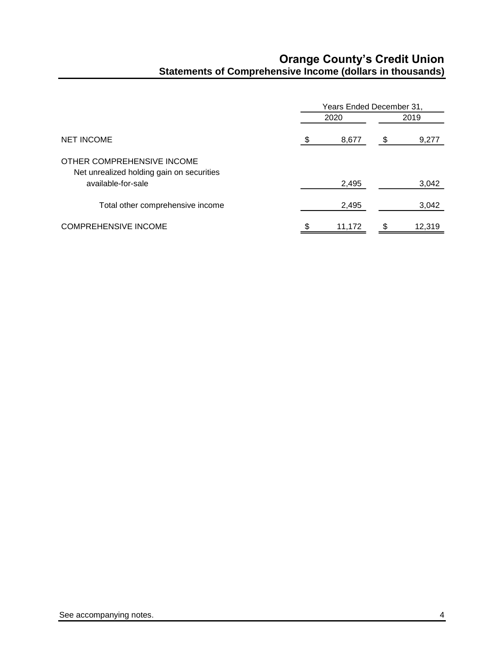# **Orange County's Credit Union Statements of Comprehensive Income (dollars in thousands)**

<span id="page-5-0"></span>

|                                                                         |      | Years Ended December 31, |   |        |  |  |
|-------------------------------------------------------------------------|------|--------------------------|---|--------|--|--|
|                                                                         | 2020 |                          |   | 2019   |  |  |
| <b>NET INCOME</b>                                                       | \$   | 8,677                    | S | 9,277  |  |  |
| OTHER COMPREHENSIVE INCOME<br>Net unrealized holding gain on securities |      |                          |   |        |  |  |
| available-for-sale                                                      |      | 2,495                    |   | 3,042  |  |  |
| Total other comprehensive income                                        |      | 2,495                    |   | 3,042  |  |  |
| <b>COMPREHENSIVE INCOME</b>                                             | \$   | 11.172                   | S | 12.319 |  |  |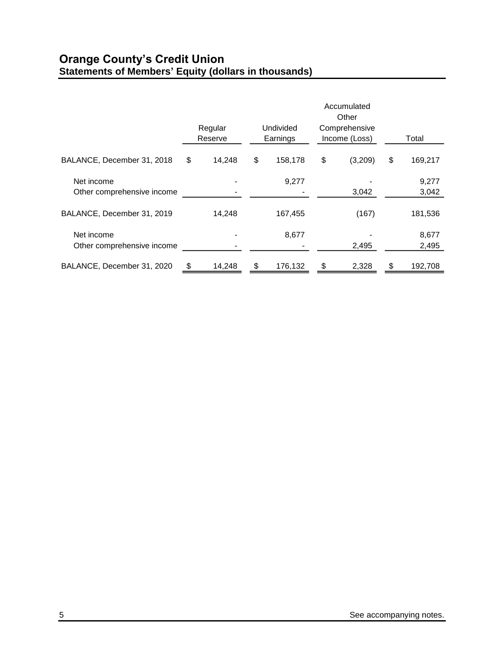# <span id="page-6-0"></span>**Orange County's Credit Union Statements of Members' Equity (dollars in thousands)**

|                                          | <b>Undivided</b><br>Regular<br>Reserve<br>Earnings |        | Accumulated<br>Other<br>Comprehensive<br>Income (Loss) | Total         |    |                |
|------------------------------------------|----------------------------------------------------|--------|--------------------------------------------------------|---------------|----|----------------|
| BALANCE, December 31, 2018               | \$                                                 | 14,248 | \$<br>158,178                                          | \$<br>(3,209) | \$ | 169,217        |
| Net income<br>Other comprehensive income |                                                    |        | 9,277                                                  | 3,042         |    | 9,277<br>3,042 |
| BALANCE, December 31, 2019               |                                                    | 14,248 | 167,455                                                | (167)         |    | 181,536        |
| Net income<br>Other comprehensive income |                                                    |        | 8,677                                                  | 2,495         |    | 8,677<br>2,495 |
| BALANCE, December 31, 2020               | \$                                                 | 14,248 | \$<br>176,132                                          | \$<br>2,328   | \$ | 192,708        |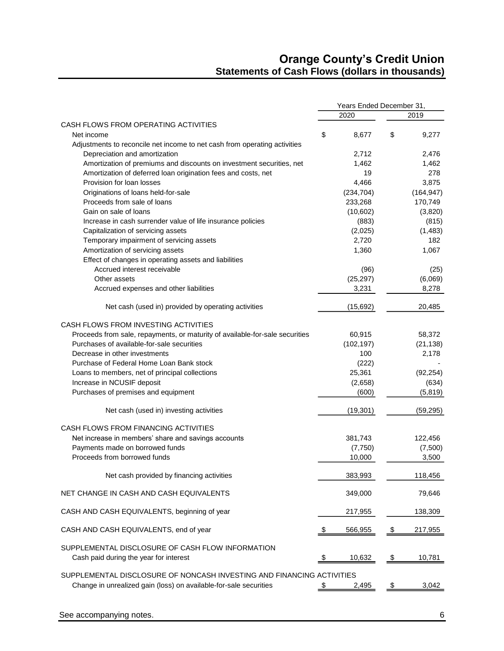## **Orange County's Credit Union Statements of Cash Flows (dollars in thousands)**

<span id="page-7-0"></span>

|                                                                              | Years Ended December 31, |              |          |                 |
|------------------------------------------------------------------------------|--------------------------|--------------|----------|-----------------|
|                                                                              |                          | 2020         |          | 2019            |
| CASH FLOWS FROM OPERATING ACTIVITIES                                         |                          |              |          |                 |
| Net income                                                                   | \$                       | 8,677        | \$       | 9,277           |
| Adjustments to reconcile net income to net cash from operating activities    |                          |              |          |                 |
| Depreciation and amortization                                                |                          | 2,712        |          | 2,476           |
| Amortization of premiums and discounts on investment securities, net         |                          | 1,462        |          | 1,462           |
| Amortization of deferred loan origination fees and costs, net                |                          | 19           |          | 278             |
| Provision for loan losses                                                    |                          | 4,466        |          | 3,875           |
| Originations of loans held-for-sale                                          |                          | (234, 704)   |          | (164, 947)      |
| Proceeds from sale of loans                                                  |                          | 233,268      |          | 170,749         |
| Gain on sale of loans                                                        |                          | (10,602)     |          | (3,820)         |
| Increase in cash surrender value of life insurance policies                  |                          | (883)        |          | (815)           |
| Capitalization of servicing assets                                           |                          | (2,025)      |          | (1, 483)        |
| Temporary impairment of servicing assets                                     |                          | 2,720        |          | 182             |
| Amortization of servicing assets                                             |                          | 1,360        |          | 1,067           |
|                                                                              |                          |              |          |                 |
| Effect of changes in operating assets and liabilities                        |                          |              |          |                 |
| Accrued interest receivable                                                  |                          | (96)         |          | (25)            |
| Other assets                                                                 |                          | (25, 297)    |          | (6,069)         |
| Accrued expenses and other liabilities                                       |                          | 3,231        |          | 8,278           |
|                                                                              |                          |              |          |                 |
| Net cash (used in) provided by operating activities                          |                          | (15,692)     |          | 20,485          |
| CASH FLOWS FROM INVESTING ACTIVITIES                                         |                          |              |          |                 |
|                                                                              |                          |              |          |                 |
| Proceeds from sale, repayments, or maturity of available-for-sale securities |                          | 60,915       |          | 58,372          |
| Purchases of available-for-sale securities                                   |                          | (102, 197)   |          | (21, 138)       |
| Decrease in other investments                                                |                          | 100          |          | 2,178           |
| Purchase of Federal Home Loan Bank stock                                     |                          | (222)        |          |                 |
| Loans to members, net of principal collections                               |                          | 25,361       |          | (92, 254)       |
| Increase in NCUSIF deposit                                                   |                          | (2,658)      |          | (634)           |
| Purchases of premises and equipment                                          |                          | (600)        |          | (5, 819)        |
| Net cash (used in) investing activities                                      |                          | (19, 301)    |          | (59, 295)       |
|                                                                              |                          |              |          |                 |
| CASH FLOWS FROM FINANCING ACTIVITIES                                         |                          |              |          |                 |
| Net increase in members' share and savings accounts                          |                          | 381,743      |          | 122,456         |
| Payments made on borrowed funds                                              |                          | (7,750)      |          | (7,500)         |
| Proceeds from borrowed funds                                                 |                          | 10,000       |          | 3,500           |
| Net cash provided by financing activities                                    |                          | 383,993      |          | 118,456         |
|                                                                              |                          |              |          |                 |
| NET CHANGE IN CASH AND CASH EQUIVALENTS                                      |                          | 349,000      |          | 79,646          |
| CASH AND CASH EQUIVALENTS, beginning of year                                 |                          | 217,955      |          | 138,309         |
| CASH AND CASH EQUIVALENTS, end of year                                       |                          | 566,955      |          | <u>217,955 </u> |
| SUPPLEMENTAL DISCLOSURE OF CASH FLOW INFORMATION                             |                          |              |          |                 |
|                                                                              |                          |              |          |                 |
| Cash paid during the year for interest                                       | \$                       | 10,632       | \$       | 10,781          |
| SUPPLEMENTAL DISCLOSURE OF NONCASH INVESTING AND FINANCING ACTIVITIES        |                          |              |          |                 |
| Change in unrealized gain (loss) on available-for-sale securities            |                          |              |          | 3,042           |
|                                                                              | \$                       | <u>2,495</u> | <u>৬</u> |                 |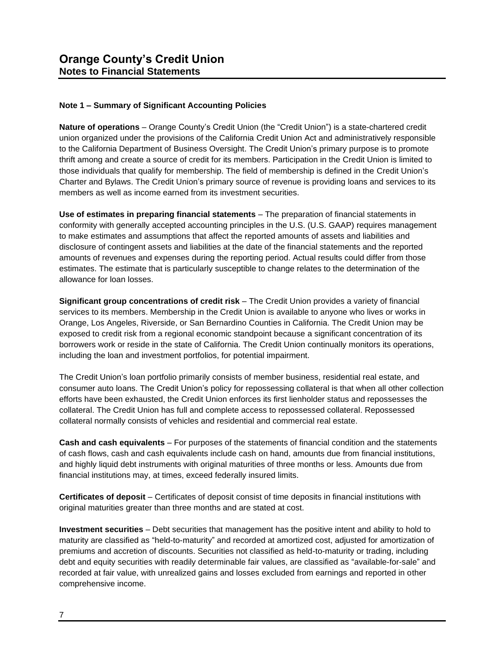### **Note 1 – Summary of Significant Accounting Policies**

**Nature of operations** – Orange County's Credit Union (the "Credit Union") is a state-chartered credit union organized under the provisions of the California Credit Union Act and administratively responsible to the California Department of Business Oversight. The Credit Union's primary purpose is to promote thrift among and create a source of credit for its members. Participation in the Credit Union is limited to those individuals that qualify for membership. The field of membership is defined in the Credit Union's Charter and Bylaws. The Credit Union's primary source of revenue is providing loans and services to its members as well as income earned from its investment securities.

**Use of estimates in preparing financial statements** – The preparation of financial statements in conformity with generally accepted accounting principles in the U.S. (U.S. GAAP) requires management to make estimates and assumptions that affect the reported amounts of assets and liabilities and disclosure of contingent assets and liabilities at the date of the financial statements and the reported amounts of revenues and expenses during the reporting period. Actual results could differ from those estimates. The estimate that is particularly susceptible to change relates to the determination of the allowance for loan losses.

**Significant group concentrations of credit risk** – The Credit Union provides a variety of financial services to its members. Membership in the Credit Union is available to anyone who lives or works in Orange, Los Angeles, Riverside, or San Bernardino Counties in California. The Credit Union may be exposed to credit risk from a regional economic standpoint because a significant concentration of its borrowers work or reside in the state of California. The Credit Union continually monitors its operations, including the loan and investment portfolios, for potential impairment.

The Credit Union's loan portfolio primarily consists of member business, residential real estate, and consumer auto loans. The Credit Union's policy for repossessing collateral is that when all other collection efforts have been exhausted, the Credit Union enforces its first lienholder status and repossesses the collateral. The Credit Union has full and complete access to repossessed collateral. Repossessed collateral normally consists of vehicles and residential and commercial real estate.

**Cash and cash equivalents** – For purposes of the statements of financial condition and the statements of cash flows, cash and cash equivalents include cash on hand, amounts due from financial institutions, and highly liquid debt instruments with original maturities of three months or less. Amounts due from financial institutions may, at times, exceed federally insured limits.

**Certificates of deposit** – Certificates of deposit consist of time deposits in financial institutions with original maturities greater than three months and are stated at cost.

**Investment securities** – Debt securities that management has the positive intent and ability to hold to maturity are classified as "held-to-maturity" and recorded at amortized cost, adjusted for amortization of premiums and accretion of discounts. Securities not classified as held-to-maturity or trading, including debt and equity securities with readily determinable fair values, are classified as "available-for-sale" and recorded at fair value, with unrealized gains and losses excluded from earnings and reported in other comprehensive income.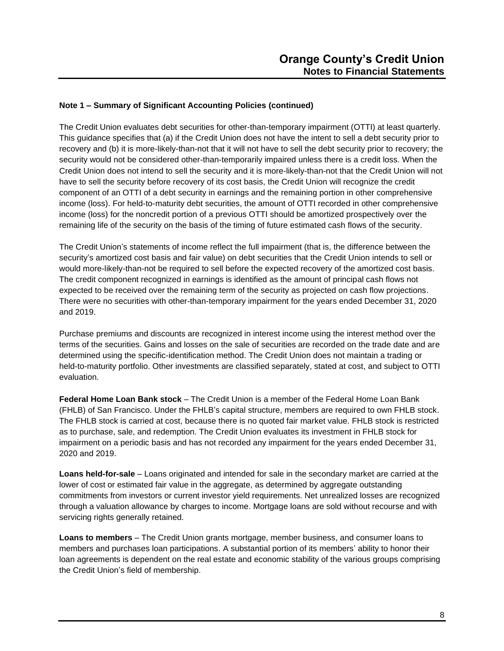<span id="page-9-0"></span>The Credit Union evaluates debt securities for other-than-temporary impairment (OTTI) at least quarterly. This guidance specifies that (a) if the Credit Union does not have the intent to sell a debt security prior to recovery and (b) it is more-likely-than-not that it will not have to sell the debt security prior to recovery; the security would not be considered other-than-temporarily impaired unless there is a credit loss. When the Credit Union does not intend to sell the security and it is more-likely-than-not that the Credit Union will not have to sell the security before recovery of its cost basis, the Credit Union will recognize the credit component of an OTTI of a debt security in earnings and the remaining portion in other comprehensive income (loss). For held-to-maturity debt securities, the amount of OTTI recorded in other comprehensive income (loss) for the noncredit portion of a previous OTTI should be amortized prospectively over the remaining life of the security on the basis of the timing of future estimated cash flows of the security.

The Credit Union's statements of income reflect the full impairment (that is, the difference between the security's amortized cost basis and fair value) on debt securities that the Credit Union intends to sell or would more-likely-than-not be required to sell before the expected recovery of the amortized cost basis. The credit component recognized in earnings is identified as the amount of principal cash flows not expected to be received over the remaining term of the security as projected on cash flow projections. There were no securities with other-than-temporary impairment for the years ended December 31, 2020 and 2019.

Purchase premiums and discounts are recognized in interest income using the interest method over the terms of the securities. Gains and losses on the sale of securities are recorded on the trade date and are determined using the specific-identification method. The Credit Union does not maintain a trading or held-to-maturity portfolio. Other investments are classified separately, stated at cost, and subject to OTTI evaluation.

**Federal Home Loan Bank stock** – The Credit Union is a member of the Federal Home Loan Bank (FHLB) of San Francisco. Under the FHLB's capital structure, members are required to own FHLB stock. The FHLB stock is carried at cost, because there is no quoted fair market value. FHLB stock is restricted as to purchase, sale, and redemption. The Credit Union evaluates its investment in FHLB stock for impairment on a periodic basis and has not recorded any impairment for the years ended December 31, 2020 and 2019.

**Loans held-for-sale** – Loans originated and intended for sale in the secondary market are carried at the lower of cost or estimated fair value in the aggregate, as determined by aggregate outstanding commitments from investors or current investor yield requirements. Net unrealized losses are recognized through a valuation allowance by charges to income. Mortgage loans are sold without recourse and with servicing rights generally retained.

**Loans to members** – The Credit Union grants mortgage, member business, and consumer loans to members and purchases loan participations. A substantial portion of its members' ability to honor their loan agreements is dependent on the real estate and economic stability of the various groups comprising the Credit Union's field of membership.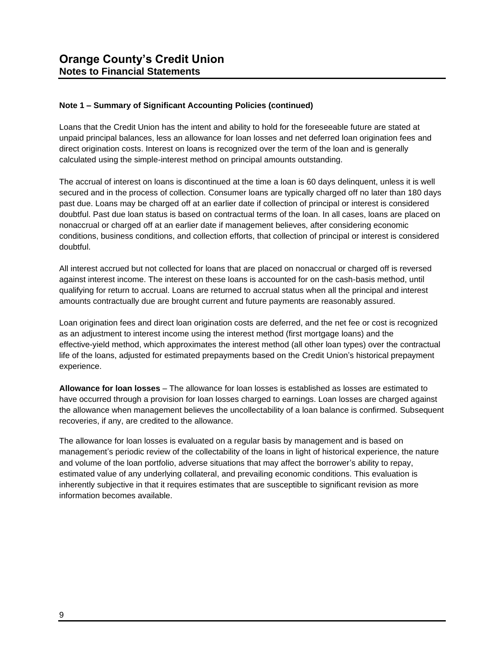Loans that the Credit Union has the intent and ability to hold for the foreseeable future are stated at unpaid principal balances, less an allowance for loan losses and net deferred loan origination fees and direct origination costs. Interest on loans is recognized over the term of the loan and is generally calculated using the simple-interest method on principal amounts outstanding.

The accrual of interest on loans is discontinued at the time a loan is 60 days delinquent, unless it is well secured and in the process of collection. Consumer loans are typically charged off no later than 180 days past due. Loans may be charged off at an earlier date if collection of principal or interest is considered doubtful. Past due loan status is based on contractual terms of the loan. In all cases, loans are placed on nonaccrual or charged off at an earlier date if management believes, after considering economic conditions, business conditions, and collection efforts, that collection of principal or interest is considered doubtful.

All interest accrued but not collected for loans that are placed on nonaccrual or charged off is reversed against interest income. The interest on these loans is accounted for on the cash-basis method, until qualifying for return to accrual. Loans are returned to accrual status when all the principal and interest amounts contractually due are brought current and future payments are reasonably assured.

Loan origination fees and direct loan origination costs are deferred, and the net fee or cost is recognized as an adjustment to interest income using the interest method (first mortgage loans) and the effective-yield method, which approximates the interest method (all other loan types) over the contractual life of the loans, adjusted for estimated prepayments based on the Credit Union's historical prepayment experience.

**Allowance for loan losses** – The allowance for loan losses is established as losses are estimated to have occurred through a provision for loan losses charged to earnings. Loan losses are charged against the allowance when management believes the uncollectability of a loan balance is confirmed. Subsequent recoveries, if any, are credited to the allowance.

The allowance for loan losses is evaluated on a regular basis by management and is based on management's periodic review of the collectability of the loans in light of historical experience, the nature and volume of the loan portfolio, adverse situations that may affect the borrower's ability to repay, estimated value of any underlying collateral, and prevailing economic conditions. This evaluation is inherently subjective in that it requires estimates that are susceptible to significant revision as more information becomes available.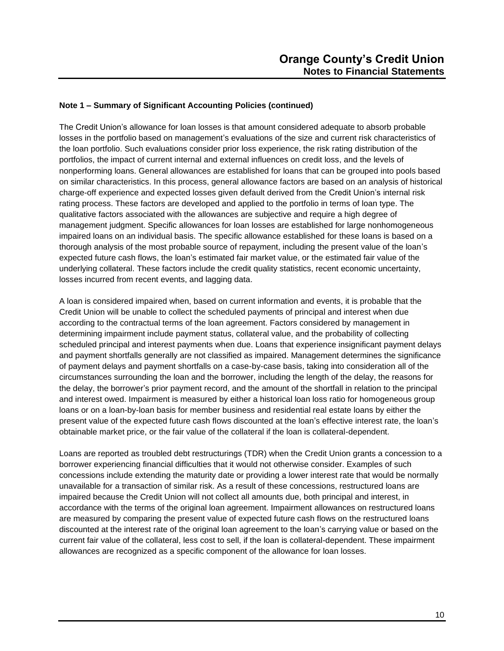The Credit Union's allowance for loan losses is that amount considered adequate to absorb probable losses in the portfolio based on management's evaluations of the size and current risk characteristics of the loan portfolio. Such evaluations consider prior loss experience, the risk rating distribution of the portfolios, the impact of current internal and external influences on credit loss, and the levels of nonperforming loans. General allowances are established for loans that can be grouped into pools based on similar characteristics. In this process, general allowance factors are based on an analysis of historical charge-off experience and expected losses given default derived from the Credit Union's internal risk rating process. These factors are developed and applied to the portfolio in terms of loan type. The qualitative factors associated with the allowances are subjective and require a high degree of management judgment. Specific allowances for loan losses are established for large nonhomogeneous impaired loans on an individual basis. The specific allowance established for these loans is based on a thorough analysis of the most probable source of repayment, including the present value of the loan's expected future cash flows, the loan's estimated fair market value, or the estimated fair value of the underlying collateral. These factors include the credit quality statistics, recent economic uncertainty, losses incurred from recent events, and lagging data.

A loan is considered impaired when, based on current information and events, it is probable that the Credit Union will be unable to collect the scheduled payments of principal and interest when due according to the contractual terms of the loan agreement. Factors considered by management in determining impairment include payment status, collateral value, and the probability of collecting scheduled principal and interest payments when due. Loans that experience insignificant payment delays and payment shortfalls generally are not classified as impaired. Management determines the significance of payment delays and payment shortfalls on a case-by-case basis, taking into consideration all of the circumstances surrounding the loan and the borrower, including the length of the delay, the reasons for the delay, the borrower's prior payment record, and the amount of the shortfall in relation to the principal and interest owed. Impairment is measured by either a historical loan loss ratio for homogeneous group loans or on a loan-by-loan basis for member business and residential real estate loans by either the present value of the expected future cash flows discounted at the loan's effective interest rate, the loan's obtainable market price, or the fair value of the collateral if the loan is collateral-dependent.

Loans are reported as troubled debt restructurings (TDR) when the Credit Union grants a concession to a borrower experiencing financial difficulties that it would not otherwise consider. Examples of such concessions include extending the maturity date or providing a lower interest rate that would be normally unavailable for a transaction of similar risk. As a result of these concessions, restructured loans are impaired because the Credit Union will not collect all amounts due, both principal and interest, in accordance with the terms of the original loan agreement. Impairment allowances on restructured loans are measured by comparing the present value of expected future cash flows on the restructured loans discounted at the interest rate of the original loan agreement to the loan's carrying value or based on the current fair value of the collateral, less cost to sell, if the loan is collateral-dependent. These impairment allowances are recognized as a specific component of the allowance for loan losses.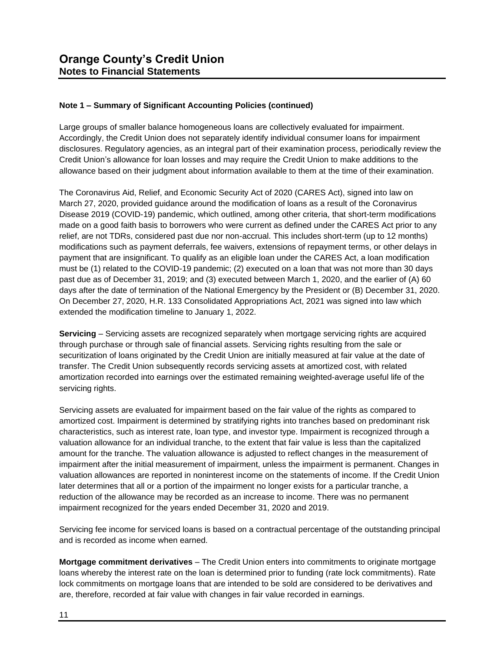Large groups of smaller balance homogeneous loans are collectively evaluated for impairment. Accordingly, the Credit Union does not separately identify individual consumer loans for impairment disclosures. Regulatory agencies, as an integral part of their examination process, periodically review the Credit Union's allowance for loan losses and may require the Credit Union to make additions to the allowance based on their judgment about information available to them at the time of their examination.

The Coronavirus Aid, Relief, and Economic Security Act of 2020 (CARES Act), signed into law on March 27, 2020, provided guidance around the modification of loans as a result of the Coronavirus Disease 2019 (COVID-19) pandemic, which outlined, among other criteria, that short-term modifications made on a good faith basis to borrowers who were current as defined under the CARES Act prior to any relief, are not TDRs, considered past due nor non-accrual. This includes short-term (up to 12 months) modifications such as payment deferrals, fee waivers, extensions of repayment terms, or other delays in payment that are insignificant. To qualify as an eligible loan under the CARES Act, a loan modification must be (1) related to the COVID-19 pandemic; (2) executed on a loan that was not more than 30 days past due as of December 31, 2019; and (3) executed between March 1, 2020, and the earlier of (A) 60 days after the date of termination of the National Emergency by the President or (B) December 31, 2020. On December 27, 2020, H.R. 133 Consolidated Appropriations Act, 2021 was signed into law which extended the modification timeline to January 1, 2022.

**Servicing** – Servicing assets are recognized separately when mortgage servicing rights are acquired through purchase or through sale of financial assets. Servicing rights resulting from the sale or securitization of loans originated by the Credit Union are initially measured at fair value at the date of transfer. The Credit Union subsequently records servicing assets at amortized cost, with related amortization recorded into earnings over the estimated remaining weighted-average useful life of the servicing rights.

Servicing assets are evaluated for impairment based on the fair value of the rights as compared to amortized cost. Impairment is determined by stratifying rights into tranches based on predominant risk characteristics, such as interest rate, loan type, and investor type. Impairment is recognized through a valuation allowance for an individual tranche, to the extent that fair value is less than the capitalized amount for the tranche. The valuation allowance is adjusted to reflect changes in the measurement of impairment after the initial measurement of impairment, unless the impairment is permanent. Changes in valuation allowances are reported in noninterest income on the statements of income. If the Credit Union later determines that all or a portion of the impairment no longer exists for a particular tranche, a reduction of the allowance may be recorded as an increase to income. There was no permanent impairment recognized for the years ended December 31, 2020 and 2019.

Servicing fee income for serviced loans is based on a contractual percentage of the outstanding principal and is recorded as income when earned.

**Mortgage commitment derivatives** – The Credit Union enters into commitments to originate mortgage loans whereby the interest rate on the loan is determined prior to funding (rate lock commitments). Rate lock commitments on mortgage loans that are intended to be sold are considered to be derivatives and are, therefore, recorded at fair value with changes in fair value recorded in earnings.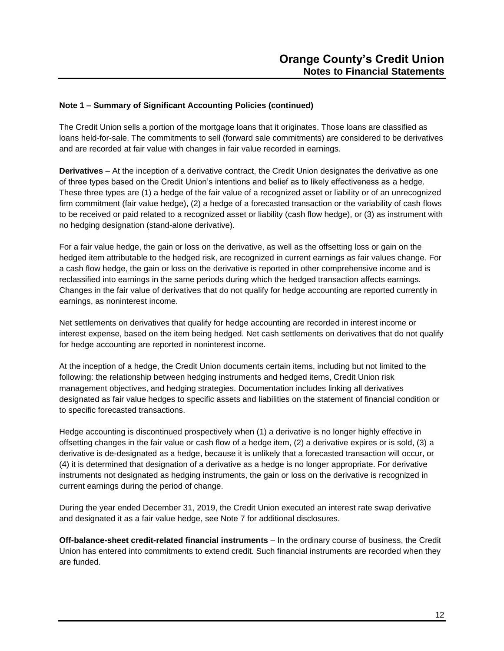The Credit Union sells a portion of the mortgage loans that it originates. Those loans are classified as loans held-for-sale. The commitments to sell (forward sale commitments) are considered to be derivatives and are recorded at fair value with changes in fair value recorded in earnings.

**Derivatives** – At the inception of a derivative contract, the Credit Union designates the derivative as one of three types based on the Credit Union's intentions and belief as to likely effectiveness as a hedge. These three types are (1) a hedge of the fair value of a recognized asset or liability or of an unrecognized firm commitment (fair value hedge), (2) a hedge of a forecasted transaction or the variability of cash flows to be received or paid related to a recognized asset or liability (cash flow hedge), or (3) as instrument with no hedging designation (stand-alone derivative).

For a fair value hedge, the gain or loss on the derivative, as well as the offsetting loss or gain on the hedged item attributable to the hedged risk, are recognized in current earnings as fair values change. For a cash flow hedge, the gain or loss on the derivative is reported in other comprehensive income and is reclassified into earnings in the same periods during which the hedged transaction affects earnings. Changes in the fair value of derivatives that do not qualify for hedge accounting are reported currently in earnings, as noninterest income.

Net settlements on derivatives that qualify for hedge accounting are recorded in interest income or interest expense, based on the item being hedged. Net cash settlements on derivatives that do not qualify for hedge accounting are reported in noninterest income.

At the inception of a hedge, the Credit Union documents certain items, including but not limited to the following: the relationship between hedging instruments and hedged items, Credit Union risk management objectives, and hedging strategies. Documentation includes linking all derivatives designated as fair value hedges to specific assets and liabilities on the statement of financial condition or to specific forecasted transactions.

Hedge accounting is discontinued prospectively when (1) a derivative is no longer highly effective in offsetting changes in the fair value or cash flow of a hedge item, (2) a derivative expires or is sold, (3) a derivative is de-designated as a hedge, because it is unlikely that a forecasted transaction will occur, or (4) it is determined that designation of a derivative as a hedge is no longer appropriate. For derivative instruments not designated as hedging instruments, the gain or loss on the derivative is recognized in current earnings during the period of change.

During the year ended December 31, 2019, the Credit Union executed an interest rate swap derivative and designated it as a fair value hedge, see Note 7 for additional disclosures.

**Off-balance-sheet credit-related financial instruments** – In the ordinary course of business, the Credit Union has entered into commitments to extend credit. Such financial instruments are recorded when they are funded.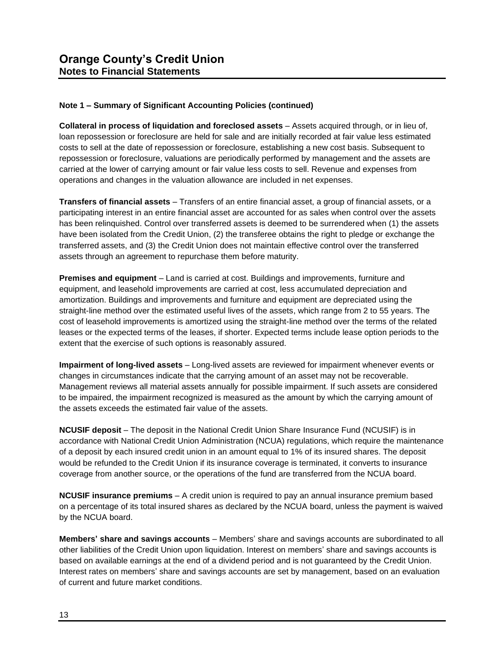**Collateral in process of liquidation and foreclosed assets** – Assets acquired through, or in lieu of, loan repossession or foreclosure are held for sale and are initially recorded at fair value less estimated costs to sell at the date of repossession or foreclosure, establishing a new cost basis. Subsequent to repossession or foreclosure, valuations are periodically performed by management and the assets are carried at the lower of carrying amount or fair value less costs to sell. Revenue and expenses from operations and changes in the valuation allowance are included in net expenses.

**Transfers of financial assets** – Transfers of an entire financial asset, a group of financial assets, or a participating interest in an entire financial asset are accounted for as sales when control over the assets has been relinquished. Control over transferred assets is deemed to be surrendered when (1) the assets have been isolated from the Credit Union, (2) the transferee obtains the right to pledge or exchange the transferred assets, and (3) the Credit Union does not maintain effective control over the transferred assets through an agreement to repurchase them before maturity.

**Premises and equipment** – Land is carried at cost. Buildings and improvements, furniture and equipment, and leasehold improvements are carried at cost, less accumulated depreciation and amortization. Buildings and improvements and furniture and equipment are depreciated using the straight-line method over the estimated useful lives of the assets, which range from 2 to 55 years. The cost of leasehold improvements is amortized using the straight-line method over the terms of the related leases or the expected terms of the leases, if shorter. Expected terms include lease option periods to the extent that the exercise of such options is reasonably assured.

**Impairment of long-lived assets** – Long-lived assets are reviewed for impairment whenever events or changes in circumstances indicate that the carrying amount of an asset may not be recoverable. Management reviews all material assets annually for possible impairment. If such assets are considered to be impaired, the impairment recognized is measured as the amount by which the carrying amount of the assets exceeds the estimated fair value of the assets.

**NCUSIF deposit** – The deposit in the National Credit Union Share Insurance Fund (NCUSIF) is in accordance with National Credit Union Administration (NCUA) regulations, which require the maintenance of a deposit by each insured credit union in an amount equal to 1% of its insured shares. The deposit would be refunded to the Credit Union if its insurance coverage is terminated, it converts to insurance coverage from another source, or the operations of the fund are transferred from the NCUA board.

**NCUSIF insurance premiums** – A credit union is required to pay an annual insurance premium based on a percentage of its total insured shares as declared by the NCUA board, unless the payment is waived by the NCUA board.

**Members' share and savings accounts** – Members' share and savings accounts are subordinated to all other liabilities of the Credit Union upon liquidation. Interest on members' share and savings accounts is based on available earnings at the end of a dividend period and is not guaranteed by the Credit Union. Interest rates on members' share and savings accounts are set by management, based on an evaluation of current and future market conditions.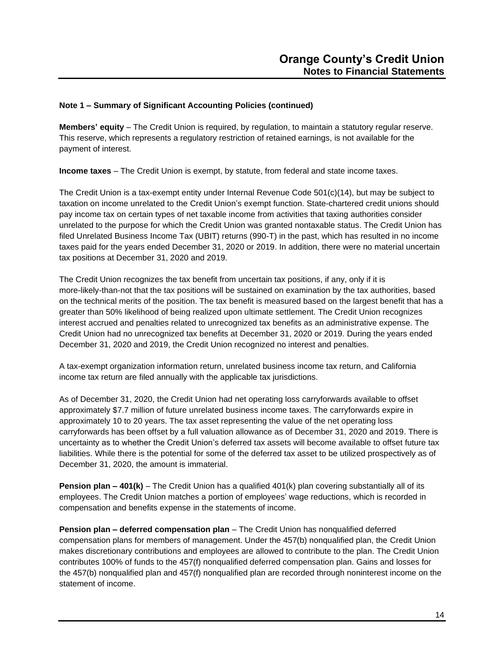**Members' equity** – The Credit Union is required, by regulation, to maintain a statutory regular reserve. This reserve, which represents a regulatory restriction of retained earnings, is not available for the payment of interest.

**Income taxes** – The Credit Union is exempt, by statute, from federal and state income taxes.

The Credit Union is a tax-exempt entity under Internal Revenue Code 501(c)(14), but may be subject to taxation on income unrelated to the Credit Union's exempt function. State-chartered credit unions should pay income tax on certain types of net taxable income from activities that taxing authorities consider unrelated to the purpose for which the Credit Union was granted nontaxable status. The Credit Union has filed Unrelated Business Income Tax (UBIT) returns (990-T) in the past, which has resulted in no income taxes paid for the years ended December 31, 2020 or 2019. In addition, there were no material uncertain tax positions at December 31, 2020 and 2019.

The Credit Union recognizes the tax benefit from uncertain tax positions, if any, only if it is more-likely-than-not that the tax positions will be sustained on examination by the tax authorities, based on the technical merits of the position. The tax benefit is measured based on the largest benefit that has a greater than 50% likelihood of being realized upon ultimate settlement. The Credit Union recognizes interest accrued and penalties related to unrecognized tax benefits as an administrative expense. The Credit Union had no unrecognized tax benefits at December 31, 2020 or 2019. During the years ended December 31, 2020 and 2019, the Credit Union recognized no interest and penalties.

A tax-exempt organization information return, unrelated business income tax return, and California income tax return are filed annually with the applicable tax jurisdictions.

As of December 31, 2020, the Credit Union had net operating loss carryforwards available to offset approximately \$7.7 million of future unrelated business income taxes. The carryforwards expire in approximately 10 to 20 years. The tax asset representing the value of the net operating loss carryforwards has been offset by a full valuation allowance as of December 31, 2020 and 2019. There is uncertainty as to whether the Credit Union's deferred tax assets will become available to offset future tax liabilities. While there is the potential for some of the deferred tax asset to be utilized prospectively as of December 31, 2020, the amount is immaterial.

**Pension plan – 401(k)** – The Credit Union has a qualified 401(k) plan covering substantially all of its employees. The Credit Union matches a portion of employees' wage reductions, which is recorded in compensation and benefits expense in the statements of income.

**Pension plan – deferred compensation plan** – The Credit Union has nonqualified deferred compensation plans for members of management. Under the 457(b) nonqualified plan, the Credit Union makes discretionary contributions and employees are allowed to contribute to the plan. The Credit Union contributes 100% of funds to the 457(f) nonqualified deferred compensation plan. Gains and losses for the 457(b) nonqualified plan and 457(f) nonqualified plan are recorded through noninterest income on the statement of income.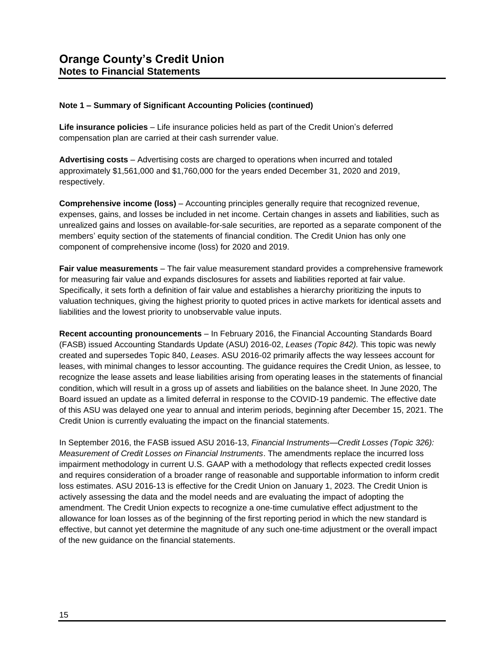**Life insurance policies** – Life insurance policies held as part of the Credit Union's deferred compensation plan are carried at their cash surrender value.

**Advertising costs** – Advertising costs are charged to operations when incurred and totaled approximately \$1,561,000 and \$1,760,000 for the years ended December 31, 2020 and 2019, respectively.

**Comprehensive income (loss)** – Accounting principles generally require that recognized revenue, expenses, gains, and losses be included in net income. Certain changes in assets and liabilities, such as unrealized gains and losses on available-for-sale securities, are reported as a separate component of the members' equity section of the statements of financial condition. The Credit Union has only one component of comprehensive income (loss) for 2020 and 2019.

**Fair value measurements** – The fair value measurement standard provides a comprehensive framework for measuring fair value and expands disclosures for assets and liabilities reported at fair value. Specifically, it sets forth a definition of fair value and establishes a hierarchy prioritizing the inputs to valuation techniques, giving the highest priority to quoted prices in active markets for identical assets and liabilities and the lowest priority to unobservable value inputs.

**Recent accounting pronouncements** – In February 2016, the Financial Accounting Standards Board (FASB) issued Accounting Standards Update (ASU) 2016-02, *Leases (Topic 842).* This topic was newly created and supersedes Topic 840, *Leases*. ASU 2016-02 primarily affects the way lessees account for leases, with minimal changes to lessor accounting. The guidance requires the Credit Union, as lessee, to recognize the lease assets and lease liabilities arising from operating leases in the statements of financial condition, which will result in a gross up of assets and liabilities on the balance sheet. In June 2020, The Board issued an update as a limited deferral in response to the COVID-19 pandemic. The effective date of this ASU was delayed one year to annual and interim periods, beginning after December 15, 2021. The Credit Union is currently evaluating the impact on the financial statements.

In September 2016, the FASB issued ASU 2016-13, *Financial Instruments—Credit Losses (Topic 326): Measurement of Credit Losses on Financial Instruments*. The amendments replace the incurred loss impairment methodology in current U.S. GAAP with a methodology that reflects expected credit losses and requires consideration of a broader range of reasonable and supportable information to inform credit loss estimates. ASU 2016-13 is effective for the Credit Union on January 1, 2023. The Credit Union is actively assessing the data and the model needs and are evaluating the impact of adopting the amendment. The Credit Union expects to recognize a one-time cumulative effect adjustment to the allowance for loan losses as of the beginning of the first reporting period in which the new standard is effective, but cannot yet determine the magnitude of any such one-time adjustment or the overall impact of the new guidance on the financial statements.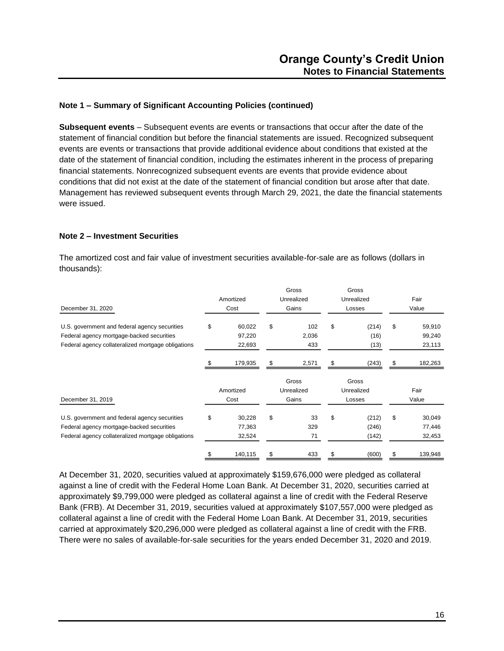**Subsequent events** – Subsequent events are events or transactions that occur after the date of the statement of financial condition but before the financial statements are issued. Recognized subsequent events are events or transactions that provide additional evidence about conditions that existed at the date of the statement of financial condition, including the estimates inherent in the process of preparing financial statements. Nonrecognized subsequent events are events that provide evidence about conditions that did not exist at the date of the statement of financial condition but arose after that date. Management has reviewed subsequent events through March 29, 2021, the date the financial statements were issued.

### **Note 2 – Investment Securities**

The amortized cost and fair value of investment securities available-for-sale are as follows (dollars in thousands):

|                                                    |              |    | Gross      | Gross       |              |
|----------------------------------------------------|--------------|----|------------|-------------|--------------|
|                                                    | Amortized    |    | Unrealized | Unrealized  | Fair         |
| December 31, 2020                                  | Cost         |    | Gains      | Losses      | Value        |
| U.S. government and federal agency securities      | \$<br>60,022 | \$ | 102        | \$<br>(214) | \$<br>59,910 |
| Federal agency mortgage-backed securities          | 97,220       |    | 2,036      | (16)        | 99,240       |
| Federal agency collateralized mortgage obligations | 22,693       |    | 433        | (13)        | 23,113       |
|                                                    | 179,935      | S  | 2,571      | (243)       | 182,263      |
|                                                    |              |    | Gross      | Gross       |              |
|                                                    | Amortized    |    | Unrealized | Unrealized  | Fair         |
| December 31, 2019                                  | Cost         |    | Gains      | Losses      | Value        |
| U.S. government and federal agency securities      | \$<br>30,228 | \$ | 33         | \$<br>(212) | \$<br>30,049 |
| Federal agency mortgage-backed securities          | 77,363       |    | 329        | (246)       | 77,446       |
|                                                    |              |    |            |             |              |
| Federal agency collateralized mortgage obligations | 32,524       |    | 71         | (142)       | 32,453       |

At December 31, 2020, securities valued at approximately \$159,676,000 were pledged as collateral against a line of credit with the Federal Home Loan Bank. At December 31, 2020, securities carried at approximately \$9,799,000 were pledged as collateral against a line of credit with the Federal Reserve Bank (FRB). At December 31, 2019, securities valued at approximately \$107,557,000 were pledged as collateral against a line of credit with the Federal Home Loan Bank. At December 31, 2019, securities carried at approximately \$20,296,000 were pledged as collateral against a line of credit with the FRB. There were no sales of available-for-sale securities for the years ended December 31, 2020 and 2019.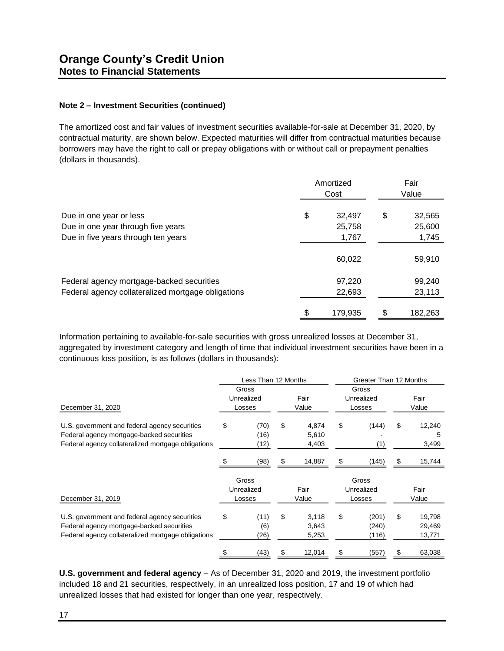### **Note 2 – Investment Securities (continued)**

The amortized cost and fair values of investment securities available-for-sale at December 31, 2020, by contractual maturity, are shown below. Expected maturities will differ from contractual maturities because borrowers may have the right to call or prepay obligations with or without call or prepayment penalties (dollars in thousands).

|                                                               | Amortized<br>Cost |                  |    | Fair<br>Value    |
|---------------------------------------------------------------|-------------------|------------------|----|------------------|
| Due in one year or less<br>Due in one year through five years | \$                | 32,497<br>25,758 | \$ | 32,565<br>25,600 |
| Due in five years through ten years                           |                   | 1,767            |    | 1,745            |
|                                                               |                   | 60,022           |    | 59,910           |
| Federal agency mortgage-backed securities                     |                   | 97,220           |    | 99,240           |
| Federal agency collateralized mortgage obligations            |                   | 22,693           |    | 23,113           |
|                                                               |                   | 179,935          |    | 182,263          |

Information pertaining to available-for-sale securities with gross unrealized losses at December 31, aggregated by investment category and length of time that individual investment securities have been in a continuous loss position, is as follows (dollars in thousands):

|                                                                                                                                                  | Less Than 12 Months |                               |    | Greater Than 12 Months  |    |                               |    |                            |  |
|--------------------------------------------------------------------------------------------------------------------------------------------------|---------------------|-------------------------------|----|-------------------------|----|-------------------------------|----|----------------------------|--|
| December 31, 2020                                                                                                                                |                     | Gross<br>Unrealized<br>Losses |    | Fair<br>Value           |    | Gross<br>Unrealized<br>Losses |    | Fair<br>Value              |  |
| U.S. government and federal agency securities<br>Federal agency mortgage-backed securities<br>Federal agency collateralized mortgage obligations | \$                  | (70)<br>(16)<br>(12)          | \$ | 4,874<br>5,610<br>4,403 | \$ | (144)<br>(1)                  | \$ | 12,240<br>5<br>3,499       |  |
|                                                                                                                                                  |                     | (98)                          | £. | 14,887                  | \$ | (145)                         | \$ | 15,744                     |  |
| December 31, 2019                                                                                                                                |                     | Gross<br>Unrealized<br>Losses |    | Fair<br>Value           |    | Gross<br>Unrealized<br>Losses |    | Fair<br>Value              |  |
| U.S. government and federal agency securities<br>Federal agency mortgage-backed securities<br>Federal agency collateralized mortgage obligations | \$                  | (11)<br>(6)<br>(26)           | \$ | 3,118<br>3,643<br>5,253 | \$ | (201)<br>(240)<br>(116)       | \$ | 19,798<br>29,469<br>13,771 |  |
|                                                                                                                                                  |                     | (43)                          |    | 12,014                  |    | (557)                         |    | 63,038                     |  |

**U.S. government and federal agency** – As of December 31, 2020 and 2019, the investment portfolio included 18 and 21 securities, respectively, in an unrealized loss position, 17 and 19 of which had unrealized losses that had existed for longer than one year, respectively.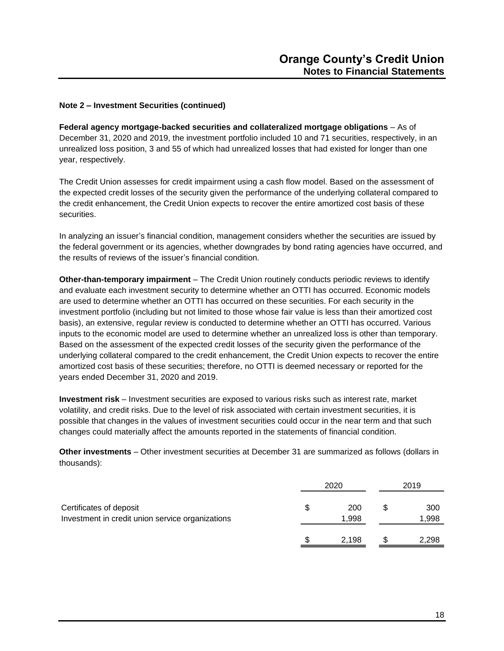### **Note 2 – Investment Securities (continued)**

**Federal agency mortgage-backed securities and collateralized mortgage obligations** – As of December 31, 2020 and 2019, the investment portfolio included 10 and 71 securities, respectively, in an unrealized loss position, 3 and 55 of which had unrealized losses that had existed for longer than one year, respectively.

The Credit Union assesses for credit impairment using a cash flow model. Based on the assessment of the expected credit losses of the security given the performance of the underlying collateral compared to the credit enhancement, the Credit Union expects to recover the entire amortized cost basis of these securities.

In analyzing an issuer's financial condition, management considers whether the securities are issued by the federal government or its agencies, whether downgrades by bond rating agencies have occurred, and the results of reviews of the issuer's financial condition.

**Other-than-temporary impairment** – The Credit Union routinely conducts periodic reviews to identify and evaluate each investment security to determine whether an OTTI has occurred. Economic models are used to determine whether an OTTI has occurred on these securities. For each security in the investment portfolio (including but not limited to those whose fair value is less than their amortized cost basis), an extensive, regular review is conducted to determine whether an OTTI has occurred. Various inputs to the economic model are used to determine whether an unrealized loss is other than temporary. Based on the assessment of the expected credit losses of the security given the performance of the underlying collateral compared to the credit enhancement, the Credit Union expects to recover the entire amortized cost basis of these securities; therefore, no OTTI is deemed necessary or reported for the years ended December 31, 2020 and 2019.

**Investment risk** – Investment securities are exposed to various risks such as interest rate, market volatility, and credit risks. Due to the level of risk associated with certain investment securities, it is possible that changes in the values of investment securities could occur in the near term and that such changes could materially affect the amounts reported in the statements of financial condition.

**Other investments** – Other investment securities at December 31 are summarized as follows (dollars in thousands):

|                                                                             | 2020 | 2019         |              |
|-----------------------------------------------------------------------------|------|--------------|--------------|
| Certificates of deposit<br>Investment in credit union service organizations |      | 200<br>1,998 | 300<br>1,998 |
|                                                                             |      | 2,198        | 2,298        |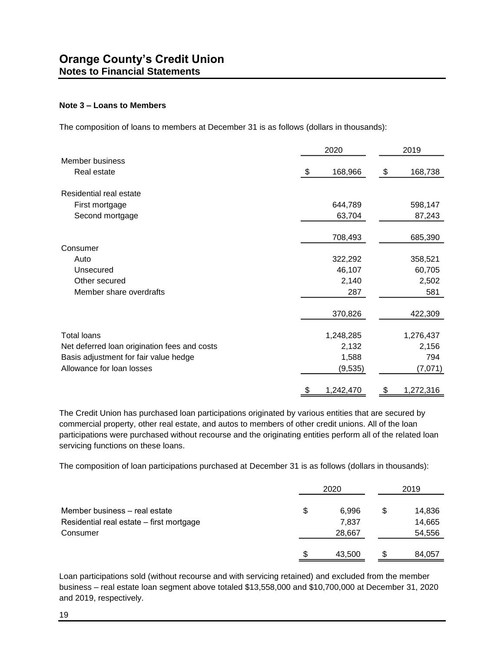### **Note 3 – Loans to Members**

The composition of loans to members at December 31 is as follows (dollars in thousands):

|                                              | 2020            | 2019 |           |  |
|----------------------------------------------|-----------------|------|-----------|--|
| Member business                              |                 |      |           |  |
| Real estate                                  | \$<br>168,966   | \$   | 168,738   |  |
| Residential real estate                      |                 |      |           |  |
| First mortgage                               | 644,789         |      | 598,147   |  |
| Second mortgage                              | 63,704          |      | 87,243    |  |
|                                              | 708,493         |      | 685,390   |  |
| Consumer                                     |                 |      |           |  |
| Auto                                         | 322,292         |      | 358,521   |  |
| Unsecured                                    | 46,107          |      | 60,705    |  |
| Other secured                                | 2,140           |      | 2,502     |  |
| Member share overdrafts                      | 287             |      | 581       |  |
|                                              | 370,826         |      | 422,309   |  |
| <b>Total loans</b>                           | 1,248,285       |      | 1,276,437 |  |
| Net deferred loan origination fees and costs | 2,132           |      | 2,156     |  |
| Basis adjustment for fair value hedge        | 1,588           |      | 794       |  |
| Allowance for loan losses                    | (9,535)         |      | (7,071)   |  |
|                                              | \$<br>1,242,470 | \$   | 1,272,316 |  |

The Credit Union has purchased loan participations originated by various entities that are secured by commercial property, other real estate, and autos to members of other credit unions. All of the loan participations were purchased without recourse and the originating entities perform all of the related loan servicing functions on these loans.

The composition of loan participations purchased at December 31 is as follows (dollars in thousands):

|                                          |    |        | 2019 |        |  |
|------------------------------------------|----|--------|------|--------|--|
| Member business – real estate            | \$ | 6,996  | S    | 14,836 |  |
| Residential real estate - first mortgage |    | 7,837  |      | 14,665 |  |
| Consumer                                 |    | 28,667 |      | 54,556 |  |
|                                          | \$ | 43,500 |      | 84,057 |  |

Loan participations sold (without recourse and with servicing retained) and excluded from the member business – real estate loan segment above totaled \$13,558,000 and \$10,700,000 at December 31, 2020 and 2019, respectively.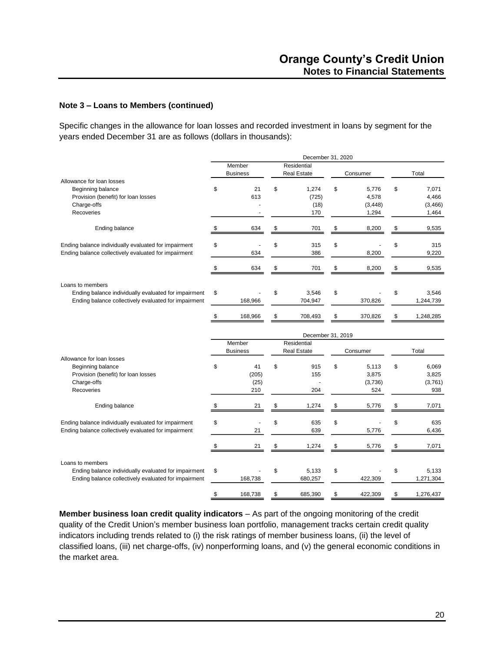Specific changes in the allowance for loan losses and recorded investment in loans by segment for the years ended December 31 are as follows (dollars in thousands):

|                                                                                                              |        |                 | December 31, 2020      |    |          |                          |
|--------------------------------------------------------------------------------------------------------------|--------|-----------------|------------------------|----|----------|--------------------------|
|                                                                                                              | Member |                 | Residential            |    |          |                          |
|                                                                                                              |        | <b>Business</b> | <b>Real Estate</b>     |    | Consumer | Total                    |
| Allowance for loan losses                                                                                    |        |                 |                        |    |          |                          |
| Beginning balance                                                                                            | \$     | 21              | \$<br>1,274            | \$ | 5,776    | \$<br>7,071              |
| Provision (benefit) for loan losses                                                                          |        | 613             | (725)                  |    | 4,578    | 4,466                    |
| Charge-offs                                                                                                  |        |                 | (18)                   |    | (3, 448) | (3,466)                  |
| Recoveries                                                                                                   |        |                 | 170                    |    | 1,294    | 1,464                    |
| Ending balance                                                                                               | S      | 634             | \$<br>701              | \$ | 8,200    | \$<br>9,535              |
| Ending balance individually evaluated for impairment                                                         | \$     |                 | \$<br>315              | \$ |          | \$<br>315                |
| Ending balance collectively evaluated for impairment                                                         |        | 634             | 386                    |    | 8,200    | 9,220                    |
|                                                                                                              | \$     | 634             | \$<br>701              | \$ | 8,200    | \$<br>9,535              |
|                                                                                                              |        |                 |                        |    |          |                          |
| Loans to members                                                                                             |        |                 |                        |    |          |                          |
| Ending balance individually evaluated for impairment<br>Ending balance collectively evaluated for impairment | \$     | 168,966         | \$<br>3,546<br>704,947 | \$ | 370,826  | \$<br>3,546<br>1,244,739 |
|                                                                                                              |        |                 |                        |    |          |                          |
|                                                                                                              |        | 168,966         | \$<br>708,493          | S  | 370,826  | \$<br>1,248,285          |
|                                                                                                              |        |                 | December 31, 2019      |    |          |                          |
|                                                                                                              |        | Member          | Residential            |    |          |                          |
|                                                                                                              |        | <b>Business</b> | <b>Real Estate</b>     |    | Consumer | Total                    |
| Allowance for loan losses                                                                                    |        |                 |                        |    |          |                          |
| Beginning balance                                                                                            | \$     | 41              | \$<br>915              | \$ | 5,113    | \$<br>6,069              |
| Provision (benefit) for loan losses                                                                          |        | (205)           | 155                    |    | 3,875    | 3,825                    |
| Charge-offs                                                                                                  |        | (25)            |                        |    | (3,736)  | (3,761)                  |
| <b>Recoveries</b>                                                                                            |        | 210             | 204                    |    | 524      | 938                      |
| <b>Ending balance</b>                                                                                        | \$     | 21              | \$<br>1,274            | \$ | 5,776    | \$<br>7,071              |
| Ending balance individually evaluated for impairment                                                         | \$     |                 | \$<br>635              | \$ |          | \$<br>635                |
| Ending balance collectively evaluated for impairment                                                         |        | 21              | 639                    |    | 5,776    | 6,436                    |
|                                                                                                              |        | 21              | \$<br>1,274            | \$ | 5,776    | \$<br>7,071              |
|                                                                                                              |        |                 |                        |    |          |                          |
| Loans to members                                                                                             |        |                 |                        |    |          |                          |
| Ending balance individually evaluated for impairment<br>Ending balance collectively evaluated for impairment | \$     | 168,738         | \$<br>5,133<br>680,257 | \$ | 422,309  | \$<br>5,133<br>1,271,304 |
|                                                                                                              |        |                 |                        |    |          |                          |
|                                                                                                              | \$     | 168,738         | \$<br>685,390          | \$ | 422,309  | \$<br>1,276,437          |

**Member business loan credit quality indicators** – As part of the ongoing monitoring of the credit quality of the Credit Union's member business loan portfolio, management tracks certain credit quality indicators including trends related to (i) the risk ratings of member business loans, (ii) the level of classified loans, (iii) net charge-offs, (iv) nonperforming loans, and (v) the general economic conditions in the market area.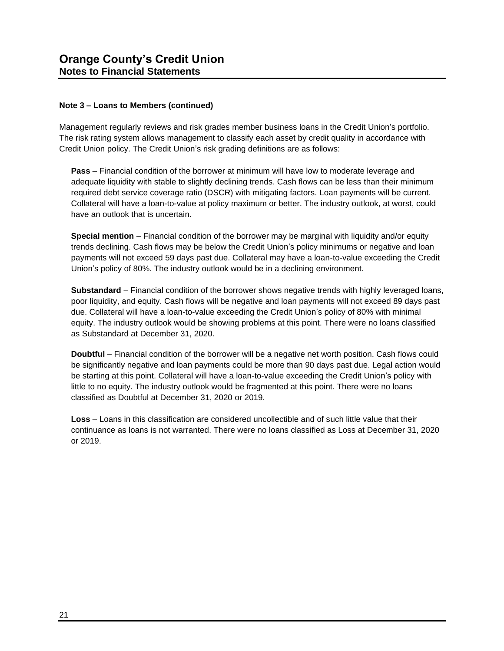Management regularly reviews and risk grades member business loans in the Credit Union's portfolio. The risk rating system allows management to classify each asset by credit quality in accordance with Credit Union policy. The Credit Union's risk grading definitions are as follows:

**Pass** – Financial condition of the borrower at minimum will have low to moderate leverage and adequate liquidity with stable to slightly declining trends. Cash flows can be less than their minimum required debt service coverage ratio (DSCR) with mitigating factors. Loan payments will be current. Collateral will have a loan-to-value at policy maximum or better. The industry outlook, at worst, could have an outlook that is uncertain.

**Special mention** – Financial condition of the borrower may be marginal with liquidity and/or equity trends declining. Cash flows may be below the Credit Union's policy minimums or negative and loan payments will not exceed 59 days past due. Collateral may have a loan-to-value exceeding the Credit Union's policy of 80%. The industry outlook would be in a declining environment.

**Substandard** – Financial condition of the borrower shows negative trends with highly leveraged loans, poor liquidity, and equity. Cash flows will be negative and loan payments will not exceed 89 days past due. Collateral will have a loan-to-value exceeding the Credit Union's policy of 80% with minimal equity. The industry outlook would be showing problems at this point. There were no loans classified as Substandard at December 31, 2020.

**Doubtful** – Financial condition of the borrower will be a negative net worth position. Cash flows could be significantly negative and loan payments could be more than 90 days past due. Legal action would be starting at this point. Collateral will have a loan-to-value exceeding the Credit Union's policy with little to no equity. The industry outlook would be fragmented at this point. There were no loans classified as Doubtful at December 31, 2020 or 2019.

**Loss** – Loans in this classification are considered uncollectible and of such little value that their continuance as loans is not warranted. There were no loans classified as Loss at December 31, 2020 or 2019.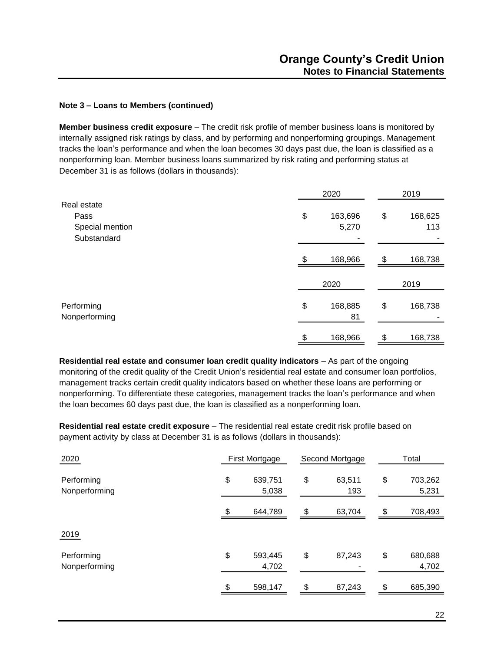**Member business credit exposure** – The credit risk profile of member business loans is monitored by internally assigned risk ratings by class, and by performing and nonperforming groupings. Management tracks the loan's performance and when the loan becomes 30 days past due, the loan is classified as a nonperforming loan. Member business loans summarized by risk rating and performing status at December 31 is as follows (dollars in thousands):

|                             |     | 2020          |    | 2019    |  |  |
|-----------------------------|-----|---------------|----|---------|--|--|
| Real estate                 |     |               |    |         |  |  |
| Pass                        | \$  | 163,696       | \$ | 168,625 |  |  |
| Special mention             |     | 5,270         |    | 113     |  |  |
| Substandard                 |     |               |    |         |  |  |
|                             | \$. | 168,966       | \$ | 168,738 |  |  |
|                             |     | 2020          |    | 2019    |  |  |
| Performing<br>Nonperforming | \$  | 168,885<br>81 | \$ | 168,738 |  |  |
|                             | \$  | 168,966       | \$ | 168,738 |  |  |

**Residential real estate and consumer loan credit quality indicators** – As part of the ongoing monitoring of the credit quality of the Credit Union's residential real estate and consumer loan portfolios, management tracks certain credit quality indicators based on whether these loans are performing or nonperforming. To differentiate these categories, management tracks the loan's performance and when the loan becomes 60 days past due, the loan is classified as a nonperforming loan.

**Residential real estate credit exposure** – The residential real estate credit risk profile based on payment activity by class at December 31 is as follows (dollars in thousands):

| 2020                        | First Mortgage |                  | Second Mortgage     | Total |                  |  |
|-----------------------------|----------------|------------------|---------------------|-------|------------------|--|
| Performing<br>Nonperforming | \$             | 639,751<br>5,038 | \$<br>63,511<br>193 | \$    | 703,262<br>5,231 |  |
|                             | \$             | 644,789          | \$<br>63,704        | \$    | 708,493          |  |
| 2019                        |                |                  |                     |       |                  |  |
| Performing<br>Nonperforming | \$             | 593,445<br>4,702 | \$<br>87,243        | \$    | 680,688<br>4,702 |  |
|                             | \$             | 598,147          | \$<br>87,243        | \$    | 685,390          |  |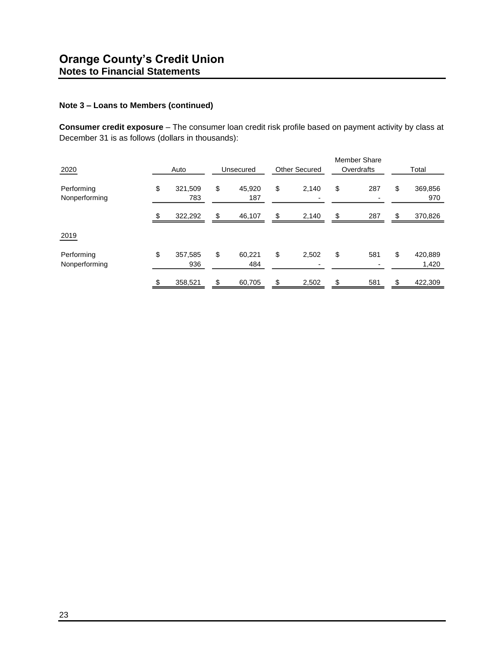**Consumer credit exposure** – The consumer loan credit risk profile based on payment activity by class at December 31 is as follows (dollars in thousands):

| 2020                        | Auto                 | Unsecured           | <b>Other Secured</b>                    | <b>Member Share</b><br>Overdrafts | Total                  |
|-----------------------------|----------------------|---------------------|-----------------------------------------|-----------------------------------|------------------------|
| Performing<br>Nonperforming | \$<br>321,509<br>783 | \$<br>45,920<br>187 | \$<br>2,140<br>$\overline{\phantom{0}}$ | \$<br>287                         | \$<br>369,856<br>970   |
|                             | \$<br>322,292        | \$<br>46,107        | \$<br>2,140                             | \$<br>287                         | \$<br>370,826          |
| 2019                        |                      |                     |                                         |                                   |                        |
| Performing<br>Nonperforming | \$<br>357,585<br>936 | \$<br>60,221<br>484 | \$<br>2,502                             | \$<br>581                         | \$<br>420,889<br>1,420 |
|                             | \$<br>358,521        | \$<br>60,705        | \$<br>2,502                             | \$<br>581                         | \$<br>422,309          |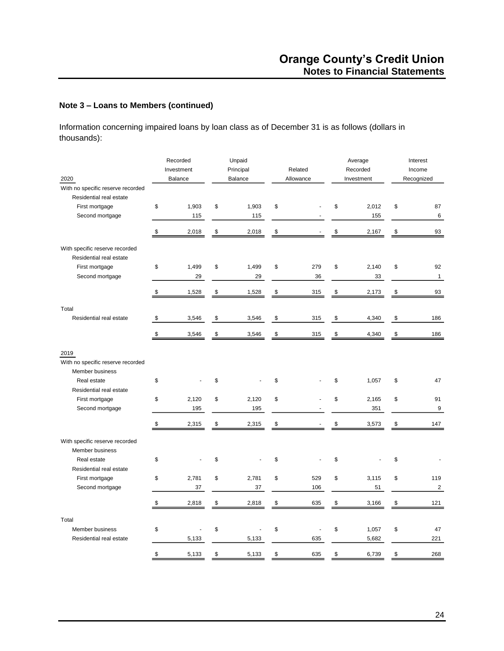Information concerning impaired loans by loan class as of December 31 is as follows (dollars in thousands):

| 2020                                                      | Recorded<br>Investment<br><b>Balance</b> | Unpaid<br>Principal<br>Balance | Related<br>Allowance | Average<br>Recorded<br>Investment | Interest<br>Income<br>Recognized |
|-----------------------------------------------------------|------------------------------------------|--------------------------------|----------------------|-----------------------------------|----------------------------------|
| With no specific reserve recorded                         |                                          |                                |                      |                                   |                                  |
| Residential real estate                                   |                                          |                                |                      |                                   |                                  |
| First mortgage                                            | \$<br>1,903                              | \$<br>1,903                    | \$                   | \$<br>2,012                       | \$<br>87                         |
| Second mortgage                                           | 115                                      | 115                            |                      | 155                               | 6                                |
|                                                           | \$<br>2,018                              | \$<br>2,018                    | \$                   | \$<br>2,167                       | \$<br>93                         |
| With specific reserve recorded<br>Residential real estate |                                          |                                |                      |                                   |                                  |
| First mortgage                                            | \$<br>1,499                              | \$<br>1,499                    | \$<br>279            | \$<br>2,140                       | \$<br>92                         |
| Second mortgage                                           | 29                                       | 29                             | 36                   | 33                                | $\mathbf{1}$                     |
|                                                           | \$<br>1,528                              | \$<br>1,528                    | \$<br>315            | \$<br>2,173                       | \$<br>93                         |
|                                                           |                                          |                                |                      |                                   |                                  |
| Total<br>Residential real estate                          | \$<br>3,546                              | \$<br>3,546                    | \$<br>315            | \$<br>4,340                       | \$<br>186                        |
|                                                           |                                          |                                |                      |                                   |                                  |
|                                                           | \$<br>3,546                              | \$<br>3,546                    | \$<br>315            | \$<br>4,340                       | \$<br>186                        |
| 2019<br>With no specific reserve recorded                 |                                          |                                |                      |                                   |                                  |
| Member business                                           |                                          |                                |                      |                                   |                                  |
| Real estate                                               | \$                                       | \$                             | \$                   | \$<br>1,057                       | \$<br>47                         |
| Residential real estate                                   |                                          |                                |                      |                                   |                                  |
| First mortgage                                            | \$<br>2,120                              | \$<br>2,120                    | \$                   | \$<br>2,165                       | \$<br>91                         |
| Second mortgage                                           | 195                                      | 195                            |                      | 351                               | 9                                |
|                                                           | \$<br>2,315                              | \$<br>2,315                    | \$                   | \$<br>3,573                       | \$<br>147                        |
| With specific reserve recorded                            |                                          |                                |                      |                                   |                                  |
| Member business                                           |                                          |                                |                      |                                   |                                  |
| Real estate                                               | \$                                       | \$                             | \$                   | \$                                | \$                               |
| Residential real estate                                   |                                          |                                |                      |                                   |                                  |
| First mortgage                                            | \$<br>2,781                              | \$<br>2,781                    | \$<br>529            | \$<br>3,115                       | \$<br>119                        |
| Second mortgage                                           | 37                                       | 37                             | 106                  | 51                                | $\overline{2}$                   |
|                                                           |                                          |                                |                      |                                   |                                  |
|                                                           | \$<br>2,818                              | \$<br>2,818                    | \$<br>635            | \$<br>3,166                       | \$<br>121                        |
| Total                                                     |                                          |                                |                      |                                   |                                  |
| Member business                                           | \$                                       | \$                             | \$<br>L.             | \$<br>1,057                       | \$<br>47                         |
| Residential real estate                                   | 5,133                                    | 5,133                          | 635                  | 5,682                             | 221                              |
|                                                           | \$<br>5,133                              | \$<br>5,133                    | \$<br>635            | \$<br>6,739                       | \$<br>268                        |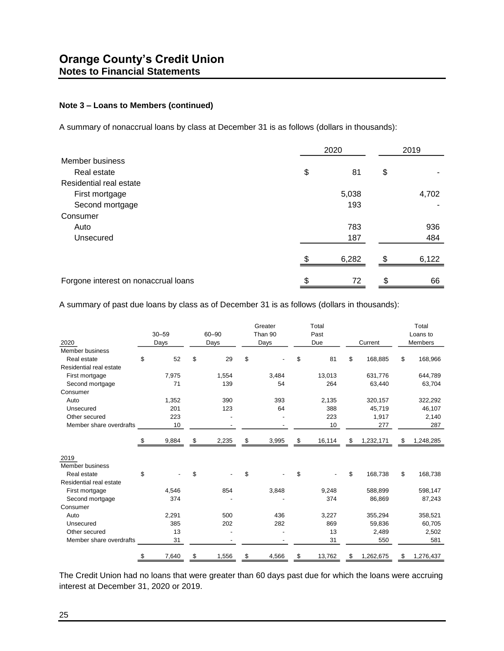A summary of nonaccrual loans by class at December 31 is as follows (dollars in thousands):

|                                      | 2020        | 2019 |       |  |
|--------------------------------------|-------------|------|-------|--|
| Member business                      |             |      |       |  |
| Real estate                          | \$<br>81    | \$   |       |  |
| Residential real estate              |             |      |       |  |
| First mortgage                       | 5,038       |      | 4,702 |  |
| Second mortgage                      | 193         |      |       |  |
| Consumer                             |             |      |       |  |
| Auto                                 | 783         |      | 936   |  |
| Unsecured                            | 187         |      | 484   |  |
|                                      | \$<br>6,282 | \$.  | 6,122 |  |
|                                      |             |      |       |  |
| Forgone interest on nonaccrual loans | \$<br>72    |      | 66    |  |

A summary of past due loans by class as of December 31 is as follows (dollars in thousands):

| 2020                    | $30 - 59$<br>Days |       | 60-90<br>Days |       | Greater<br>Than 90<br>Days |       | Total<br>Past<br>Due |        | Current |           | Total<br>Loans to<br>Members |           |
|-------------------------|-------------------|-------|---------------|-------|----------------------------|-------|----------------------|--------|---------|-----------|------------------------------|-----------|
| Member business         |                   |       |               |       |                            |       |                      |        |         |           |                              |           |
| Real estate             | \$                | 52    | \$            | 29    | \$                         |       | \$                   | 81     | \$      | 168,885   | \$                           | 168,966   |
| Residential real estate |                   |       |               |       |                            |       |                      |        |         |           |                              |           |
| First mortgage          |                   | 7,975 |               | 1,554 |                            | 3,484 |                      | 13,013 |         | 631,776   |                              | 644,789   |
| Second mortgage         |                   | 71    |               | 139   |                            | 54    |                      | 264    |         | 63,440    |                              | 63,704    |
| Consumer                |                   |       |               |       |                            |       |                      |        |         |           |                              |           |
| Auto                    |                   | 1,352 |               | 390   |                            | 393   |                      | 2,135  |         | 320,157   |                              | 322,292   |
| Unsecured               |                   | 201   |               | 123   |                            | 64    |                      | 388    |         | 45,719    |                              | 46,107    |
| Other secured           |                   | 223   |               |       |                            |       |                      | 223    |         | 1,917     |                              | 2,140     |
| Member share overdrafts |                   | 10    |               |       |                            |       |                      | 10     |         | 277       |                              | 287       |
|                         | S                 | 9,884 | \$            | 2,235 | \$                         | 3,995 | \$                   | 16,114 | \$      | 1,232,171 | \$                           | 1,248,285 |
| 2019                    |                   |       |               |       |                            |       |                      |        |         |           |                              |           |
| Member business         |                   |       |               |       |                            |       |                      |        |         |           |                              |           |
| Real estate             | \$                |       | \$            |       | \$                         |       | \$                   |        | \$      | 168,738   | \$                           | 168,738   |
| Residential real estate |                   |       |               |       |                            |       |                      |        |         |           |                              |           |
| First mortgage          |                   | 4,546 |               | 854   |                            | 3,848 |                      | 9,248  |         | 588,899   |                              | 598,147   |
| Second mortgage         |                   | 374   |               |       |                            |       |                      | 374    |         | 86,869    |                              | 87,243    |
| Consumer                |                   |       |               |       |                            |       |                      |        |         |           |                              |           |
| Auto                    |                   | 2,291 |               | 500   |                            | 436   |                      | 3,227  |         | 355,294   |                              | 358,521   |
| Unsecured               |                   | 385   |               | 202   |                            | 282   |                      | 869    |         | 59,836    |                              | 60,705    |
| Other secured           |                   | 13    |               |       |                            |       |                      | 13     |         | 2,489     |                              | 2,502     |
| Member share overdrafts |                   | 31    |               |       |                            |       |                      | 31     |         | 550       |                              | 581       |
|                         | \$                | 7,640 | \$            | 1,556 | \$                         | 4,566 | \$                   | 13,762 | \$      | 1,262,675 | \$                           | 1,276,437 |

The Credit Union had no loans that were greater than 60 days past due for which the loans were accruing interest at December 31, 2020 or 2019.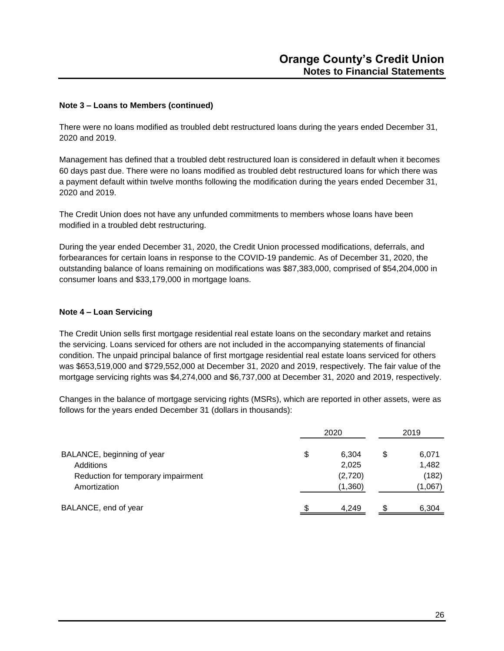There were no loans modified as troubled debt restructured loans during the years ended December 31, 2020 and 2019.

Management has defined that a troubled debt restructured loan is considered in default when it becomes 60 days past due. There were no loans modified as troubled debt restructured loans for which there was a payment default within twelve months following the modification during the years ended December 31, 2020 and 2019.

The Credit Union does not have any unfunded commitments to members whose loans have been modified in a troubled debt restructuring.

During the year ended December 31, 2020, the Credit Union processed modifications, deferrals, and forbearances for certain loans in response to the COVID-19 pandemic. As of December 31, 2020, the outstanding balance of loans remaining on modifications was \$87,383,000, comprised of \$54,204,000 in consumer loans and \$33,179,000 in mortgage loans.

### **Note 4 – Loan Servicing**

The Credit Union sells first mortgage residential real estate loans on the secondary market and retains the servicing. Loans serviced for others are not included in the accompanying statements of financial condition. The unpaid principal balance of first mortgage residential real estate loans serviced for others was \$653,519,000 and \$729,552,000 at December 31, 2020 and 2019, respectively. The fair value of the mortgage servicing rights was \$4,274,000 and \$6,737,000 at December 31, 2020 and 2019, respectively.

Changes in the balance of mortgage servicing rights (MSRs), which are reported in other assets, were as follows for the years ended December 31 (dollars in thousands):

|                                    | 2020 |         | 2019 |         |  |
|------------------------------------|------|---------|------|---------|--|
| BALANCE, beginning of year         | \$   | 6,304   | S    | 6,071   |  |
| Additions                          |      | 2,025   |      | 1,482   |  |
| Reduction for temporary impairment |      | (2,720) |      | (182)   |  |
| Amortization                       |      | (1,360) |      | (1,067) |  |
| BALANCE, end of year               |      | 4.249   |      | 6,304   |  |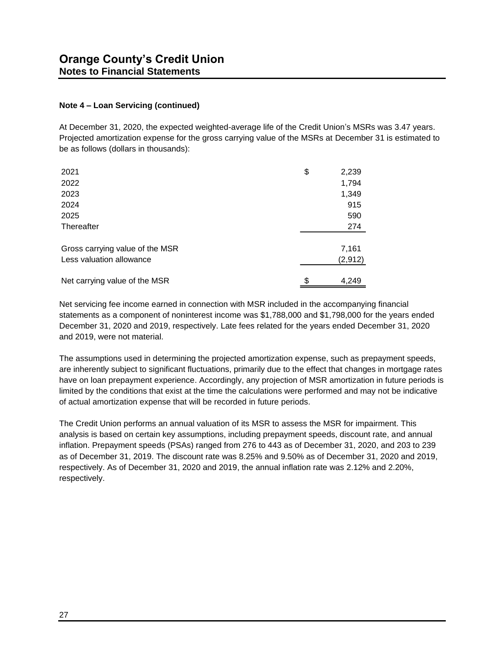### **Note 4 – Loan Servicing (continued)**

At December 31, 2020, the expected weighted-average life of the Credit Union's MSRs was 3.47 years. Projected amortization expense for the gross carrying value of the MSRs at December 31 is estimated to be as follows (dollars in thousands):

| 2021                            | \$<br>2,239 |
|---------------------------------|-------------|
| 2022                            | 1,794       |
| 2023                            | 1,349       |
| 2024                            | 915         |
| 2025                            | 590         |
| Thereafter                      | 274         |
| Gross carrying value of the MSR | 7,161       |
| Less valuation allowance        | (2, 912)    |
| Net carrying value of the MSR   | \$<br>4,249 |

Net servicing fee income earned in connection with MSR included in the accompanying financial statements as a component of noninterest income was \$1,788,000 and \$1,798,000 for the years ended December 31, 2020 and 2019, respectively. Late fees related for the years ended December 31, 2020 and 2019, were not material.

The assumptions used in determining the projected amortization expense, such as prepayment speeds, are inherently subject to significant fluctuations, primarily due to the effect that changes in mortgage rates have on loan prepayment experience. Accordingly, any projection of MSR amortization in future periods is limited by the conditions that exist at the time the calculations were performed and may not be indicative of actual amortization expense that will be recorded in future periods.

The Credit Union performs an annual valuation of its MSR to assess the MSR for impairment. This analysis is based on certain key assumptions, including prepayment speeds, discount rate, and annual inflation. Prepayment speeds (PSAs) ranged from 276 to 443 as of December 31, 2020, and 203 to 239 as of December 31, 2019. The discount rate was 8.25% and 9.50% as of December 31, 2020 and 2019, respectively. As of December 31, 2020 and 2019, the annual inflation rate was 2.12% and 2.20%, respectively.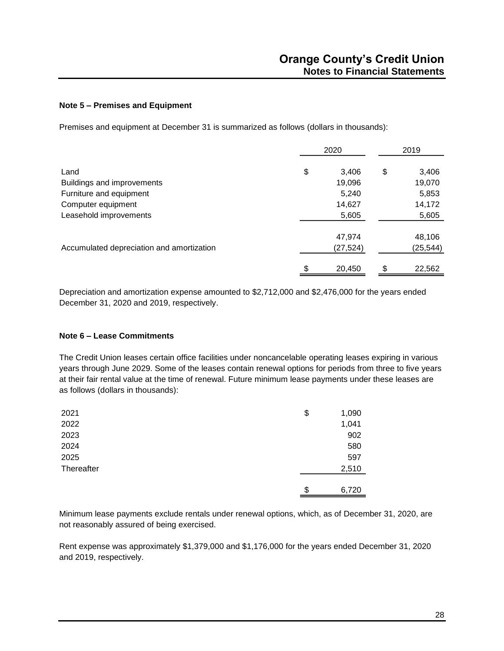### **Note 5 – Premises and Equipment**

Premises and equipment at December 31 is summarized as follows (dollars in thousands):

|                                           |    |           | 2019 |          |  |
|-------------------------------------------|----|-----------|------|----------|--|
| Land                                      | \$ | 3,406     | \$   | 3,406    |  |
| Buildings and improvements                |    | 19,096    |      | 19,070   |  |
| Furniture and equipment                   |    | 5,240     |      | 5,853    |  |
| Computer equipment                        |    | 14,627    |      | 14,172   |  |
| Leasehold improvements                    |    | 5,605     |      | 5,605    |  |
|                                           |    | 47,974    |      | 48,106   |  |
| Accumulated depreciation and amortization |    | (27, 524) |      | (25,544) |  |
|                                           | \$ | 20,450    | S    | 22,562   |  |

Depreciation and amortization expense amounted to \$2,712,000 and \$2,476,000 for the years ended December 31, 2020 and 2019, respectively.

#### **Note 6 – Lease Commitments**

The Credit Union leases certain office facilities under noncancelable operating leases expiring in various years through June 2029. Some of the leases contain renewal options for periods from three to five years at their fair rental value at the time of renewal. Future minimum lease payments under these leases are as follows (dollars in thousands):

| 2021       | \$<br>1,090 |
|------------|-------------|
| 2022       | 1,041       |
| 2023       | 902         |
| 2024       | 580         |
| 2025       | 597         |
| Thereafter | 2,510       |
|            |             |
|            | \$<br>6,720 |

Minimum lease payments exclude rentals under renewal options, which, as of December 31, 2020, are not reasonably assured of being exercised.

Rent expense was approximately \$1,379,000 and \$1,176,000 for the years ended December 31, 2020 and 2019, respectively.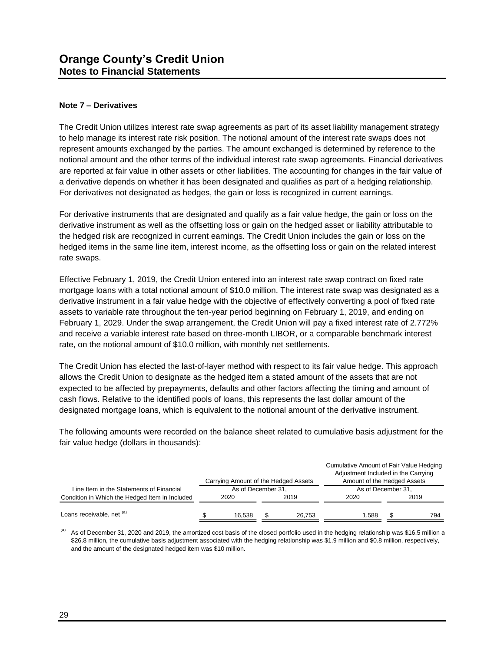### **Note 7 – Derivatives**

The Credit Union utilizes interest rate swap agreements as part of its asset liability management strategy to help manage its interest rate risk position. The notional amount of the interest rate swaps does not represent amounts exchanged by the parties. The amount exchanged is determined by reference to the notional amount and the other terms of the individual interest rate swap agreements. Financial derivatives are reported at fair value in other assets or other liabilities. The accounting for changes in the fair value of a derivative depends on whether it has been designated and qualifies as part of a hedging relationship. For derivatives not designated as hedges, the gain or loss is recognized in current earnings.

For derivative instruments that are designated and qualify as a fair value hedge, the gain or loss on the derivative instrument as well as the offsetting loss or gain on the hedged asset or liability attributable to the hedged risk are recognized in current earnings. The Credit Union includes the gain or loss on the hedged items in the same line item, interest income, as the offsetting loss or gain on the related interest rate swaps.

Effective February 1, 2019, the Credit Union entered into an interest rate swap contract on fixed rate mortgage loans with a total notional amount of \$10.0 million. The interest rate swap was designated as a derivative instrument in a fair value hedge with the objective of effectively converting a pool of fixed rate assets to variable rate throughout the ten-year period beginning on February 1, 2019, and ending on February 1, 2029. Under the swap arrangement, the Credit Union will pay a fixed interest rate of 2.772% and receive a variable interest rate based on three-month LIBOR, or a comparable benchmark interest rate, on the notional amount of \$10.0 million, with monthly net settlements.

The Credit Union has elected the last-of-layer method with respect to its fair value hedge. This approach allows the Credit Union to designate as the hedged item a stated amount of the assets that are not expected to be affected by prepayments, defaults and other factors affecting the timing and amount of cash flows. Relative to the identified pools of loans, this represents the last dollar amount of the designated mortgage loans, which is equivalent to the notional amount of the derivative instrument.

The following amounts were recorded on the balance sheet related to cumulative basis adjustment for the fair value hedge (dollars in thousands):

|                                                |                    | Carrying Amount of the Hedged Assets |      |        | Cumulative Amount of Fair Value Hedging<br>Adjustment Included in the Carrying<br>Amount of the Hedged Assets |      |     |  |  |
|------------------------------------------------|--------------------|--------------------------------------|------|--------|---------------------------------------------------------------------------------------------------------------|------|-----|--|--|
| Line Item in the Statements of Financial       | As of December 31, |                                      |      |        | As of December 31,                                                                                            |      |     |  |  |
| Condition in Which the Hedged Item in Included | 2020               |                                      | 2019 |        | 2020                                                                                                          | 2019 |     |  |  |
| Loans receivable, net (a)                      |                    | 16.538                               |      | 26.753 | 1.588                                                                                                         |      | 794 |  |  |

 $<sup>(a)</sup>$  As of December 31, 2020 and 2019, the amortized cost basis of the closed portfolio used in the hedging relationship was \$16.5 million a</sup> \$26.8 million, the cumulative basis adjustment associated with the hedging relationship was \$1.9 million and \$0.8 million, respectively, and the amount of the designated hedged item was \$10 million.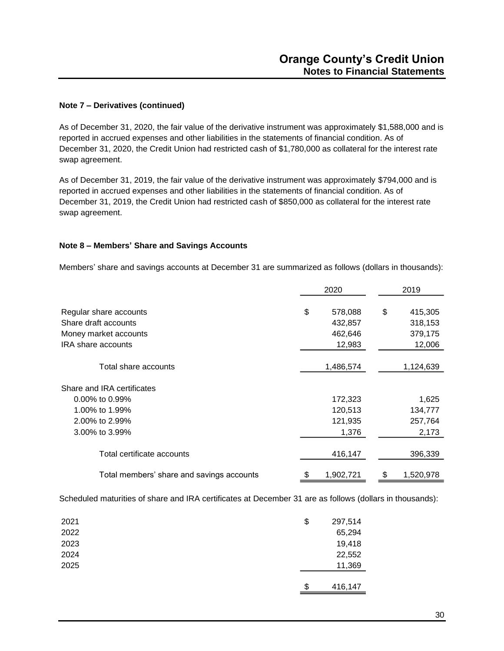### **Note 7 – Derivatives (continued)**

As of December 31, 2020, the fair value of the derivative instrument was approximately \$1,588,000 and is reported in accrued expenses and other liabilities in the statements of financial condition. As of December 31, 2020, the Credit Union had restricted cash of \$1,780,000 as collateral for the interest rate swap agreement.

As of December 31, 2019, the fair value of the derivative instrument was approximately \$794,000 and is reported in accrued expenses and other liabilities in the statements of financial condition. As of December 31, 2019, the Credit Union had restricted cash of \$850,000 as collateral for the interest rate swap agreement.

### **Note 8 – Members' Share and Savings Accounts**

Members' share and savings accounts at December 31 are summarized as follows (dollars in thousands):

|                                           | 2020 |           |    | 2019      |
|-------------------------------------------|------|-----------|----|-----------|
| Regular share accounts                    | \$   | 578,088   | \$ | 415,305   |
| Share draft accounts                      |      | 432,857   |    | 318,153   |
| Money market accounts                     |      | 462,646   |    | 379,175   |
| <b>IRA</b> share accounts                 |      | 12,983    |    | 12,006    |
| Total share accounts                      |      | 1,486,574 |    | 1,124,639 |
| Share and IRA certificates                |      |           |    |           |
| 0.00% to 0.99%                            |      | 172,323   |    | 1,625     |
| 1.00% to 1.99%                            |      | 120,513   |    | 134,777   |
| 2.00% to 2.99%                            |      | 121,935   |    | 257,764   |
| 3.00% to 3.99%                            |      | 1,376     |    | 2,173     |
| Total certificate accounts                |      | 416,147   |    | 396,339   |
| Total members' share and savings accounts | \$   | 1,902,721 | \$ | 1,520,978 |

Scheduled maturities of share and IRA certificates at December 31 are as follows (dollars in thousands):

| 2021 | \$<br>297,514 |
|------|---------------|
| 2022 | 65,294        |
| 2023 | 19,418        |
| 2024 | 22,552        |
| 2025 | 11,369        |
|      |               |
|      | \$<br>416,147 |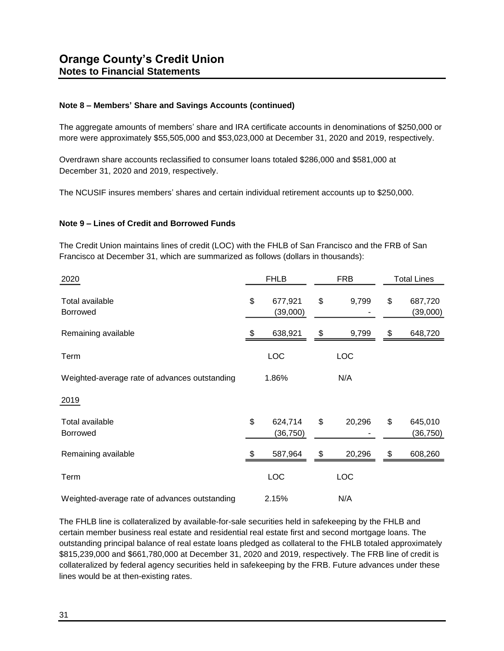### **Note 8 – Members' Share and Savings Accounts (continued)**

The aggregate amounts of members' share and IRA certificate accounts in denominations of \$250,000 or more were approximately \$55,505,000 and \$53,023,000 at December 31, 2020 and 2019, respectively.

Overdrawn share accounts reclassified to consumer loans totaled \$286,000 and \$581,000 at December 31, 2020 and 2019, respectively.

The NCUSIF insures members' shares and certain individual retirement accounts up to \$250,000.

### **Note 9 – Lines of Credit and Borrowed Funds**

The Credit Union maintains lines of credit (LOC) with the FHLB of San Francisco and the FRB of San Francisco at December 31, which are summarized as follows (dollars in thousands):

| 2020                                          | <b>FHLB</b>                |    | <b>FRB</b> | <b>Total Lines</b>         |  |
|-----------------------------------------------|----------------------------|----|------------|----------------------------|--|
| Total available<br><b>Borrowed</b>            | \$<br>677,921<br>(39,000)  | \$ | 9,799      | \$<br>687,720<br>(39,000)  |  |
| Remaining available                           | 638,921                    | \$ | 9,799      | \$<br>648,720              |  |
| Term                                          | <b>LOC</b>                 |    | <b>LOC</b> |                            |  |
| Weighted-average rate of advances outstanding | 1.86%                      |    | N/A        |                            |  |
| 2019                                          |                            |    |            |                            |  |
| Total available<br><b>Borrowed</b>            | \$<br>624,714<br>(36, 750) | \$ | 20,296     | \$<br>645,010<br>(36, 750) |  |
| Remaining available                           | 587,964                    | \$ | 20,296     | \$<br>608,260              |  |
| Term                                          | LOC                        |    | LOC        |                            |  |
| Weighted-average rate of advances outstanding | 2.15%                      |    | N/A        |                            |  |

The FHLB line is collateralized by available-for-sale securities held in safekeeping by the FHLB and certain member business real estate and residential real estate first and second mortgage loans. The outstanding principal balance of real estate loans pledged as collateral to the FHLB totaled approximately \$815,239,000 and \$661,780,000 at December 31, 2020 and 2019, respectively. The FRB line of credit is collateralized by federal agency securities held in safekeeping by the FRB. Future advances under these lines would be at then-existing rates.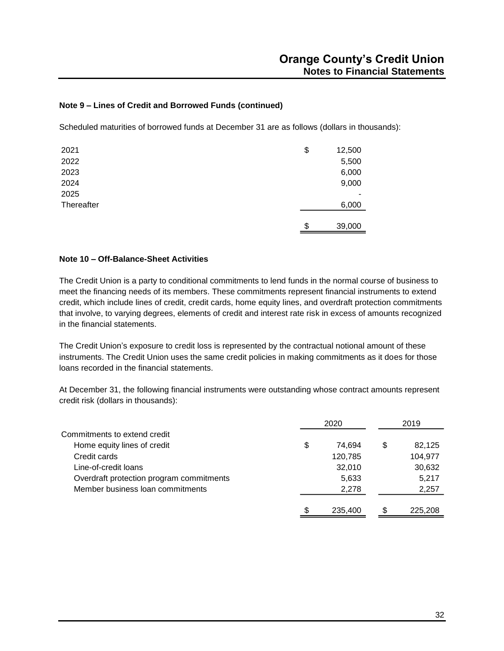### **Note 9 – Lines of Credit and Borrowed Funds (continued)**

Scheduled maturities of borrowed funds at December 31 are as follows (dollars in thousands):

| 2021       | \$<br>12,500 |
|------------|--------------|
| 2022       | 5,500        |
| 2023       | 6,000        |
| 2024       | 9,000        |
| 2025       |              |
| Thereafter | 6,000        |
|            |              |
|            | \$<br>39,000 |

### **Note 10 – Off-Balance-Sheet Activities**

The Credit Union is a party to conditional commitments to lend funds in the normal course of business to meet the financing needs of its members. These commitments represent financial instruments to extend credit, which include lines of credit, credit cards, home equity lines, and overdraft protection commitments that involve, to varying degrees, elements of credit and interest rate risk in excess of amounts recognized in the financial statements.

The Credit Union's exposure to credit loss is represented by the contractual notional amount of these instruments. The Credit Union uses the same credit policies in making commitments as it does for those loans recorded in the financial statements.

At December 31, the following financial instruments were outstanding whose contract amounts represent credit risk (dollars in thousands):

|                                          | 2020          |   | 2019    |  |
|------------------------------------------|---------------|---|---------|--|
| Commitments to extend credit             |               |   |         |  |
| Home equity lines of credit              | \$<br>74.694  | S | 82,125  |  |
| Credit cards                             | 120,785       |   | 104,977 |  |
| Line-of-credit loans                     | 32,010        |   | 30,632  |  |
| Overdraft protection program commitments | 5,633         |   | 5,217   |  |
| Member business loan commitments         | 2,278         |   | 2,257   |  |
|                                          |               |   |         |  |
|                                          | \$<br>235,400 |   | 225,208 |  |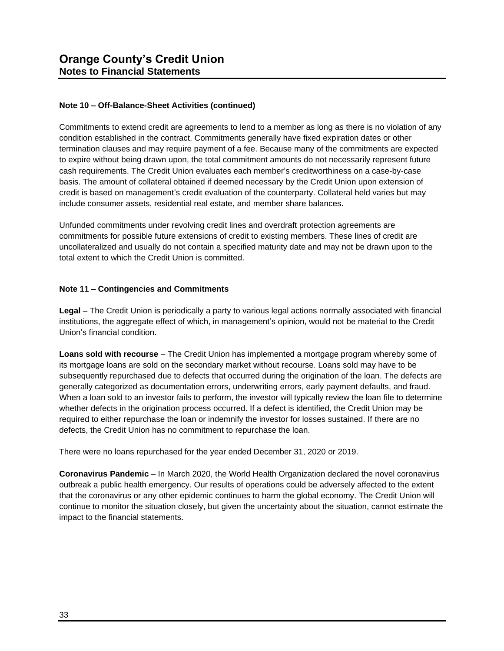### **Note 10 – Off-Balance-Sheet Activities (continued)**

Commitments to extend credit are agreements to lend to a member as long as there is no violation of any condition established in the contract. Commitments generally have fixed expiration dates or other termination clauses and may require payment of a fee. Because many of the commitments are expected to expire without being drawn upon, the total commitment amounts do not necessarily represent future cash requirements. The Credit Union evaluates each member's creditworthiness on a case-by-case basis. The amount of collateral obtained if deemed necessary by the Credit Union upon extension of credit is based on management's credit evaluation of the counterparty. Collateral held varies but may include consumer assets, residential real estate, and member share balances.

Unfunded commitments under revolving credit lines and overdraft protection agreements are commitments for possible future extensions of credit to existing members. These lines of credit are uncollateralized and usually do not contain a specified maturity date and may not be drawn upon to the total extent to which the Credit Union is committed.

### **Note 11 – Contingencies and Commitments**

**Legal** – The Credit Union is periodically a party to various legal actions normally associated with financial institutions, the aggregate effect of which, in management's opinion, would not be material to the Credit Union's financial condition.

**Loans sold with recourse** – The Credit Union has implemented a mortgage program whereby some of its mortgage loans are sold on the secondary market without recourse. Loans sold may have to be subsequently repurchased due to defects that occurred during the origination of the loan. The defects are generally categorized as documentation errors, underwriting errors, early payment defaults, and fraud. When a loan sold to an investor fails to perform, the investor will typically review the loan file to determine whether defects in the origination process occurred. If a defect is identified, the Credit Union may be required to either repurchase the loan or indemnify the investor for losses sustained. If there are no defects, the Credit Union has no commitment to repurchase the loan.

There were no loans repurchased for the year ended December 31, 2020 or 2019.

**Coronavirus Pandemic** – In March 2020, the World Health Organization declared the novel coronavirus outbreak a public health emergency. Our results of operations could be adversely affected to the extent that the coronavirus or any other epidemic continues to harm the global economy. The Credit Union will continue to monitor the situation closely, but given the uncertainty about the situation, cannot estimate the impact to the financial statements.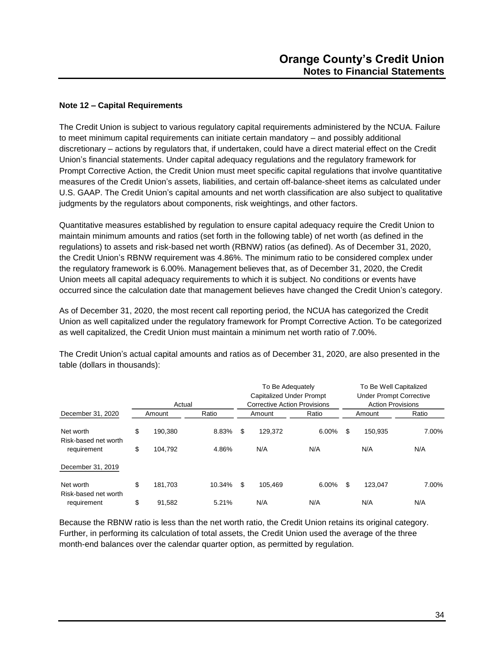### **Note 12 – Capital Requirements**

The Credit Union is subject to various regulatory capital requirements administered by the NCUA. Failure to meet minimum capital requirements can initiate certain mandatory – and possibly additional discretionary – actions by regulators that, if undertaken, could have a direct material effect on the Credit Union's financial statements. Under capital adequacy regulations and the regulatory framework for Prompt Corrective Action, the Credit Union must meet specific capital regulations that involve quantitative measures of the Credit Union's assets, liabilities, and certain off-balance-sheet items as calculated under U.S. GAAP. The Credit Union's capital amounts and net worth classification are also subject to qualitative judgments by the regulators about components, risk weightings, and other factors.

Quantitative measures established by regulation to ensure capital adequacy require the Credit Union to maintain minimum amounts and ratios (set forth in the following table) of net worth (as defined in the regulations) to assets and risk-based net worth (RBNW) ratios (as defined). As of December 31, 2020, the Credit Union's RBNW requirement was 4.86%. The minimum ratio to be considered complex under the regulatory framework is 6.00%. Management believes that, as of December 31, 2020, the Credit Union meets all capital adequacy requirements to which it is subject. No conditions or events have occurred since the calculation date that management believes have changed the Credit Union's category.

As of December 31, 2020, the most recent call reporting period, the NCUA has categorized the Credit Union as well capitalized under the regulatory framework for Prompt Corrective Action. To be categorized as well capitalized, the Credit Union must maintain a minimum net worth ratio of 7.00%.

|                                   | Actual |         | To Be Adequately<br><b>Capitalized Under Prompt</b><br><b>Corrective Action Provisions</b> |   |         |       | To Be Well Capitalized<br><b>Under Prompt Corrective</b><br><b>Action Provisions</b> |         |       |
|-----------------------------------|--------|---------|--------------------------------------------------------------------------------------------|---|---------|-------|--------------------------------------------------------------------------------------|---------|-------|
| December 31, 2020                 |        | Amount  | Ratio                                                                                      |   | Amount  | Ratio |                                                                                      | Amount  | Ratio |
| Net worth<br>Risk-based net worth | \$     | 190.380 | 8.83%                                                                                      | S | 129.372 | 6.00% | \$                                                                                   | 150.935 | 7.00% |
| requirement                       | \$     | 104.792 | 4.86%                                                                                      |   | N/A     | N/A   |                                                                                      | N/A     | N/A   |
| December 31, 2019                 |        |         |                                                                                            |   |         |       |                                                                                      |         |       |
| Net worth<br>Risk-based net worth | \$     | 181.703 | 10.34%                                                                                     | S | 105.469 | 6.00% | \$                                                                                   | 123.047 | 7.00% |
| requirement                       | \$     | 91,582  | 5.21%                                                                                      |   | N/A     | N/A   |                                                                                      | N/A     | N/A   |

The Credit Union's actual capital amounts and ratios as of December 31, 2020, are also presented in the table (dollars in thousands):

Because the RBNW ratio is less than the net worth ratio, the Credit Union retains its original category. Further, in performing its calculation of total assets, the Credit Union used the average of the three month-end balances over the calendar quarter option, as permitted by regulation.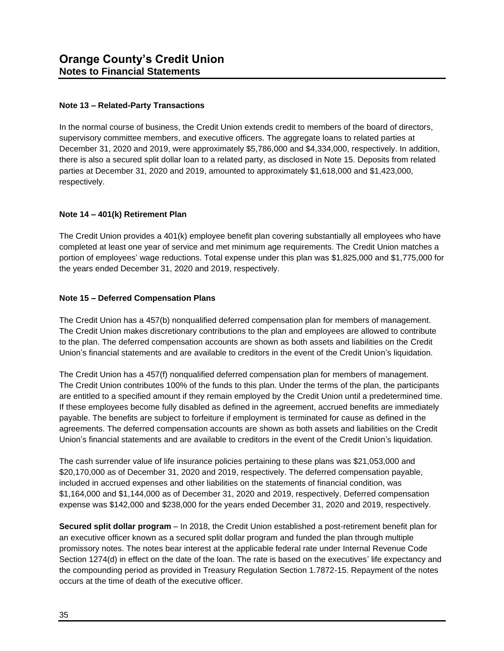### **Note 13 – Related-Party Transactions**

In the normal course of business, the Credit Union extends credit to members of the board of directors, supervisory committee members, and executive officers. The aggregate loans to related parties at December 31, 2020 and 2019, were approximately \$5,786,000 and \$4,334,000, respectively. In addition, there is also a secured split dollar loan to a related party, as disclosed in Note 15. Deposits from related parties at December 31, 2020 and 2019, amounted to approximately \$1,618,000 and \$1,423,000, respectively.

### **Note 14 – 401(k) Retirement Plan**

The Credit Union provides a 401(k) employee benefit plan covering substantially all employees who have completed at least one year of service and met minimum age requirements. The Credit Union matches a portion of employees' wage reductions. Total expense under this plan was \$1,825,000 and \$1,775,000 for the years ended December 31, 2020 and 2019, respectively.

### **Note 15 – Deferred Compensation Plans**

The Credit Union has a 457(b) nonqualified deferred compensation plan for members of management. The Credit Union makes discretionary contributions to the plan and employees are allowed to contribute to the plan. The deferred compensation accounts are shown as both assets and liabilities on the Credit Union's financial statements and are available to creditors in the event of the Credit Union's liquidation.

The Credit Union has a 457(f) nonqualified deferred compensation plan for members of management. The Credit Union contributes 100% of the funds to this plan. Under the terms of the plan, the participants are entitled to a specified amount if they remain employed by the Credit Union until a predetermined time. If these employees become fully disabled as defined in the agreement, accrued benefits are immediately payable. The benefits are subject to forfeiture if employment is terminated for cause as defined in the agreements. The deferred compensation accounts are shown as both assets and liabilities on the Credit Union's financial statements and are available to creditors in the event of the Credit Union's liquidation.

The cash surrender value of life insurance policies pertaining to these plans was \$21,053,000 and \$20,170,000 as of December 31, 2020 and 2019, respectively. The deferred compensation payable, included in accrued expenses and other liabilities on the statements of financial condition, was \$1,164,000 and \$1,144,000 as of December 31, 2020 and 2019, respectively. Deferred compensation expense was \$142,000 and \$238,000 for the years ended December 31, 2020 and 2019, respectively.

**Secured split dollar program** – In 2018, the Credit Union established a post-retirement benefit plan for an executive officer known as a secured split dollar program and funded the plan through multiple promissory notes. The notes bear interest at the applicable federal rate under Internal Revenue Code Section 1274(d) in effect on the date of the loan. The rate is based on the executives' life expectancy and the compounding period as provided in Treasury Regulation Section 1.7872-15. Repayment of the notes occurs at the time of death of the executive officer.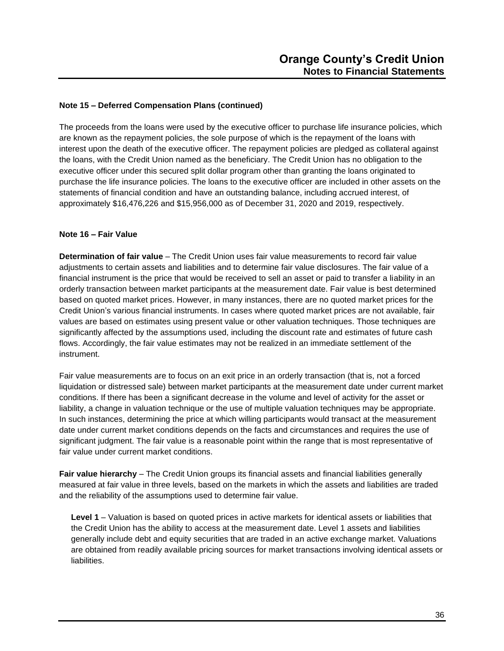### **Note 15 – Deferred Compensation Plans (continued)**

The proceeds from the loans were used by the executive officer to purchase life insurance policies, which are known as the repayment policies, the sole purpose of which is the repayment of the loans with interest upon the death of the executive officer. The repayment policies are pledged as collateral against the loans, with the Credit Union named as the beneficiary. The Credit Union has no obligation to the executive officer under this secured split dollar program other than granting the loans originated to purchase the life insurance policies. The loans to the executive officer are included in other assets on the statements of financial condition and have an outstanding balance, including accrued interest, of approximately \$16,476,226 and \$15,956,000 as of December 31, 2020 and 2019, respectively.

### **Note 16 – Fair Value**

**Determination of fair value** – The Credit Union uses fair value measurements to record fair value adjustments to certain assets and liabilities and to determine fair value disclosures. The fair value of a financial instrument is the price that would be received to sell an asset or paid to transfer a liability in an orderly transaction between market participants at the measurement date. Fair value is best determined based on quoted market prices. However, in many instances, there are no quoted market prices for the Credit Union's various financial instruments. In cases where quoted market prices are not available, fair values are based on estimates using present value or other valuation techniques. Those techniques are significantly affected by the assumptions used, including the discount rate and estimates of future cash flows. Accordingly, the fair value estimates may not be realized in an immediate settlement of the instrument.

Fair value measurements are to focus on an exit price in an orderly transaction (that is, not a forced liquidation or distressed sale) between market participants at the measurement date under current market conditions. If there has been a significant decrease in the volume and level of activity for the asset or liability, a change in valuation technique or the use of multiple valuation techniques may be appropriate. In such instances, determining the price at which willing participants would transact at the measurement date under current market conditions depends on the facts and circumstances and requires the use of significant judgment. The fair value is a reasonable point within the range that is most representative of fair value under current market conditions.

**Fair value hierarchy** – The Credit Union groups its financial assets and financial liabilities generally measured at fair value in three levels, based on the markets in which the assets and liabilities are traded and the reliability of the assumptions used to determine fair value.

**Level 1** – Valuation is based on quoted prices in active markets for identical assets or liabilities that the Credit Union has the ability to access at the measurement date. Level 1 assets and liabilities generally include debt and equity securities that are traded in an active exchange market. Valuations are obtained from readily available pricing sources for market transactions involving identical assets or liabilities.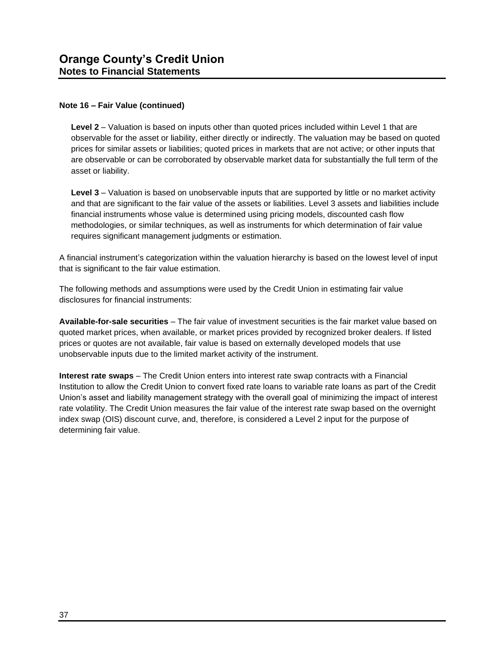### **Note 16 – Fair Value (continued)**

**Level 2** – Valuation is based on inputs other than quoted prices included within Level 1 that are observable for the asset or liability, either directly or indirectly. The valuation may be based on quoted prices for similar assets or liabilities; quoted prices in markets that are not active; or other inputs that are observable or can be corroborated by observable market data for substantially the full term of the asset or liability.

**Level 3** – Valuation is based on unobservable inputs that are supported by little or no market activity and that are significant to the fair value of the assets or liabilities. Level 3 assets and liabilities include financial instruments whose value is determined using pricing models, discounted cash flow methodologies, or similar techniques, as well as instruments for which determination of fair value requires significant management judgments or estimation.

A financial instrument's categorization within the valuation hierarchy is based on the lowest level of input that is significant to the fair value estimation.

The following methods and assumptions were used by the Credit Union in estimating fair value disclosures for financial instruments:

**Available-for-sale securities** – The fair value of investment securities is the fair market value based on quoted market prices, when available, or market prices provided by recognized broker dealers. If listed prices or quotes are not available, fair value is based on externally developed models that use unobservable inputs due to the limited market activity of the instrument.

**Interest rate swaps** – The Credit Union enters into interest rate swap contracts with a Financial Institution to allow the Credit Union to convert fixed rate loans to variable rate loans as part of the Credit Union's asset and liability management strategy with the overall goal of minimizing the impact of interest rate volatility. The Credit Union measures the fair value of the interest rate swap based on the overnight index swap (OIS) discount curve, and, therefore, is considered a Level 2 input for the purpose of determining fair value.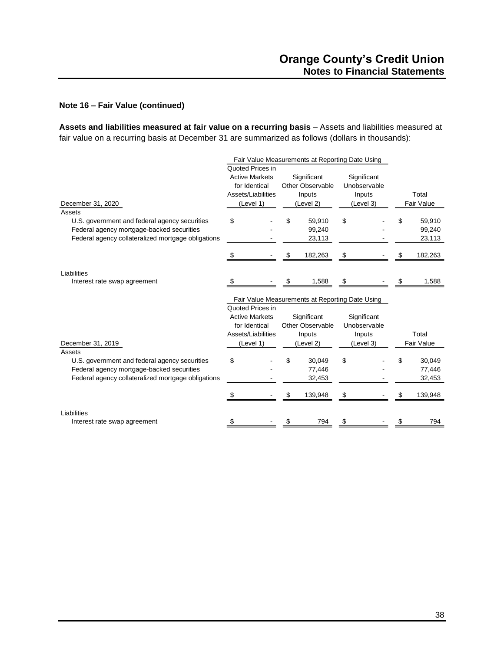### **Note 16 – Fair Value (continued)**

**Assets and liabilities measured at fair value on a recurring basis** – Assets and liabilities measured at fair value on a recurring basis at December 31 are summarized as follows (dollars in thousands):

|                                                    | Fair Value Measurements at Reporting Date Using |                                                 |              |               |
|----------------------------------------------------|-------------------------------------------------|-------------------------------------------------|--------------|---------------|
|                                                    | Quoted Prices in                                |                                                 |              |               |
|                                                    | <b>Active Markets</b>                           | Significant                                     | Significant  |               |
|                                                    | for Identical                                   | Other Observable                                | Unobservable |               |
|                                                    | Assets/Liabilities                              | Inputs                                          | Inputs       | Total         |
| December 31, 2020                                  | (Level 1)                                       | (Level 2)                                       | (Level 3)    | Fair Value    |
| Assets                                             |                                                 |                                                 |              |               |
| U.S. government and federal agency securities      | \$                                              | \$<br>59,910                                    | \$           | 59,910<br>\$  |
| Federal agency mortgage-backed securities          |                                                 | 99,240                                          |              | 99,240        |
| Federal agency collateralized mortgage obligations |                                                 | 23,113                                          |              | 23,113        |
|                                                    |                                                 |                                                 |              |               |
|                                                    |                                                 | \$<br>182,263                                   | S            | 182,263<br>\$ |
|                                                    |                                                 |                                                 |              |               |
| Liabilities                                        |                                                 |                                                 |              |               |
| Interest rate swap agreement                       |                                                 | 1,588<br>S                                      | S            | 1,588         |
|                                                    |                                                 |                                                 |              |               |
|                                                    |                                                 | Fair Value Measurements at Reporting Date Using |              |               |
|                                                    | Quoted Prices in                                |                                                 |              |               |
|                                                    | <b>Active Markets</b>                           | Significant                                     | Significant  |               |
|                                                    | for Identical                                   | Other Observable                                | Unobservable |               |
|                                                    | Assets/Liabilities                              | Inputs                                          | Inputs       | Total         |
| December 31, 2019                                  | (Level 1)                                       | (Level 2)                                       | (Level 3)    | Fair Value    |
| Assets                                             |                                                 |                                                 |              |               |
| U.S. government and federal agency securities      | \$                                              | 30,049<br>\$                                    | \$           | 30,049<br>\$  |
| Federal agency mortgage-backed securities          |                                                 | 77,446                                          |              | 77,446        |
| Federal agency collateralized mortgage obligations |                                                 | 32,453                                          |              | 32,453        |
|                                                    |                                                 |                                                 |              |               |
|                                                    |                                                 | 139,948<br>\$                                   | \$           | 139,948       |
|                                                    |                                                 |                                                 |              |               |
| Liabilities                                        |                                                 |                                                 |              |               |
| Interest rate swap agreement                       |                                                 | 794                                             |              | 794           |
|                                                    |                                                 |                                                 |              |               |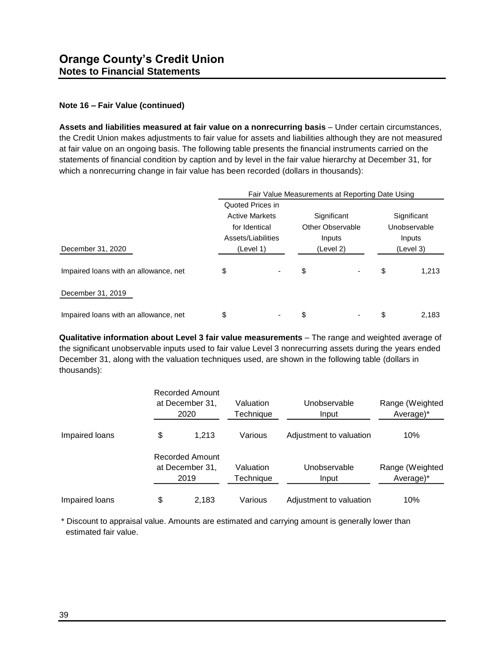### **Note 16 – Fair Value (continued)**

**Assets and liabilities measured at fair value on a nonrecurring basis** – Under certain circumstances, the Credit Union makes adjustments to fair value for assets and liabilities although they are not measured at fair value on an ongoing basis. The following table presents the financial instruments carried on the statements of financial condition by caption and by level in the fair value hierarchy at December 31, for which a nonrecurring change in fair value has been recorded (dollars in thousands):

|                                       | Fair Value Measurements at Reporting Date Using |  |                         |  |                     |       |  |  |
|---------------------------------------|-------------------------------------------------|--|-------------------------|--|---------------------|-------|--|--|
|                                       | Quoted Prices in                                |  |                         |  |                     |       |  |  |
|                                       | <b>Active Markets</b>                           |  | Significant             |  | Significant         |       |  |  |
|                                       | for Identical                                   |  | <b>Other Observable</b> |  | Unobservable        |       |  |  |
|                                       | Assets/Liabilities<br>(Level 1)                 |  | Inputs<br>(Level 2)     |  | Inputs<br>(Level 3) |       |  |  |
| December 31, 2020                     |                                                 |  |                         |  |                     |       |  |  |
| Impaired loans with an allowance, net | \$                                              |  | \$                      |  | \$                  | 1,213 |  |  |
| December 31, 2019                     |                                                 |  |                         |  |                     |       |  |  |
| Impaired loans with an allowance, net | \$                                              |  | \$                      |  | \$                  | 2.183 |  |  |

**Qualitative information about Level 3 fair value measurements** – The range and weighted average of the significant unobservable inputs used to fair value Level 3 nonrecurring assets during the years ended December 31, along with the valuation techniques used, are shown in the following table (dollars in thousands):

|                | <b>Recorded Amount</b><br>at December 31,<br>Valuation<br>Technique<br>2020 |                        | Unobservable<br>Input   | Range (Weighted<br>Average)* |  |
|----------------|-----------------------------------------------------------------------------|------------------------|-------------------------|------------------------------|--|
| Impaired loans | \$<br>Various<br>Adjustment to valuation<br>1.213                           |                        | 10%                     |                              |  |
|                | <b>Recorded Amount</b><br>at December 31,<br>2019                           | Valuation<br>Technique | Unobservable<br>Input   | Range (Weighted<br>Average)* |  |
| Impaired loans | \$<br>2,183                                                                 | Various                | Adjustment to valuation | 10%                          |  |

\* Discount to appraisal value. Amounts are estimated and carrying amount is generally lower than estimated fair value.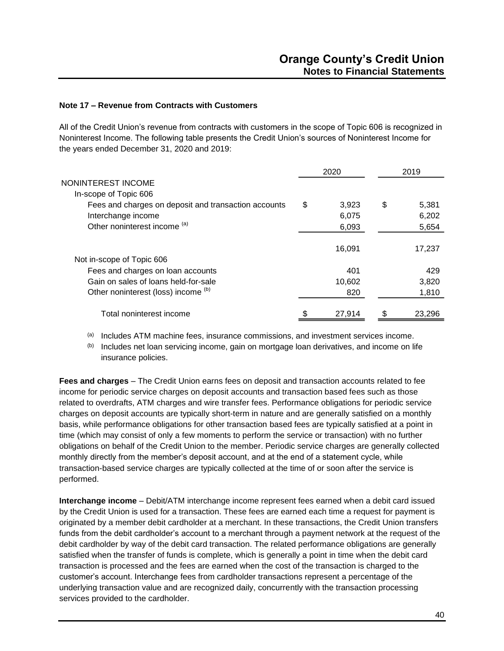### **Note 17 – Revenue from Contracts with Customers**

All of the Credit Union's revenue from contracts with customers in the scope of Topic 606 is recognized in Noninterest Income. The following table presents the Credit Union's sources of Noninterest Income for the years ended December 31, 2020 and 2019:

|                                                      | 2020 |        | 2019        |  |
|------------------------------------------------------|------|--------|-------------|--|
| NONINTEREST INCOME                                   |      |        |             |  |
| In-scope of Topic 606                                |      |        |             |  |
| Fees and charges on deposit and transaction accounts | \$   | 3,923  | \$<br>5,381 |  |
| Interchange income                                   |      | 6,075  | 6,202       |  |
| Other noninterest income (a)                         |      | 6,093  | 5,654       |  |
|                                                      |      | 16,091 | 17,237      |  |
| Not in-scope of Topic 606                            |      |        |             |  |
| Fees and charges on loan accounts                    |      | 401    | 429         |  |
| Gain on sales of loans held-for-sale                 |      | 10,602 | 3,820       |  |
| Other noninterest (loss) income (b)                  |      | 820    | 1,810       |  |
| Total noninterest income                             |      | 27,914 | 23,296      |  |

(a) Includes ATM machine fees, insurance commissions, and investment services income.

 $(b)$  Includes net loan servicing income, gain on mortgage loan derivatives, and income on life insurance policies.

**Fees and charges** – The Credit Union earns fees on deposit and transaction accounts related to fee income for periodic service charges on deposit accounts and transaction based fees such as those related to overdrafts, ATM charges and wire transfer fees. Performance obligations for periodic service charges on deposit accounts are typically short-term in nature and are generally satisfied on a monthly basis, while performance obligations for other transaction based fees are typically satisfied at a point in time (which may consist of only a few moments to perform the service or transaction) with no further obligations on behalf of the Credit Union to the member. Periodic service charges are generally collected monthly directly from the member's deposit account, and at the end of a statement cycle, while transaction-based service charges are typically collected at the time of or soon after the service is performed.

**Interchange income** – Debit/ATM interchange income represent fees earned when a debit card issued by the Credit Union is used for a transaction. These fees are earned each time a request for payment is originated by a member debit cardholder at a merchant. In these transactions, the Credit Union transfers funds from the debit cardholder's account to a merchant through a payment network at the request of the debit cardholder by way of the debit card transaction. The related performance obligations are generally satisfied when the transfer of funds is complete, which is generally a point in time when the debit card transaction is processed and the fees are earned when the cost of the transaction is charged to the customer's account. Interchange fees from cardholder transactions represent a percentage of the underlying transaction value and are recognized daily, concurrently with the transaction processing services provided to the cardholder.